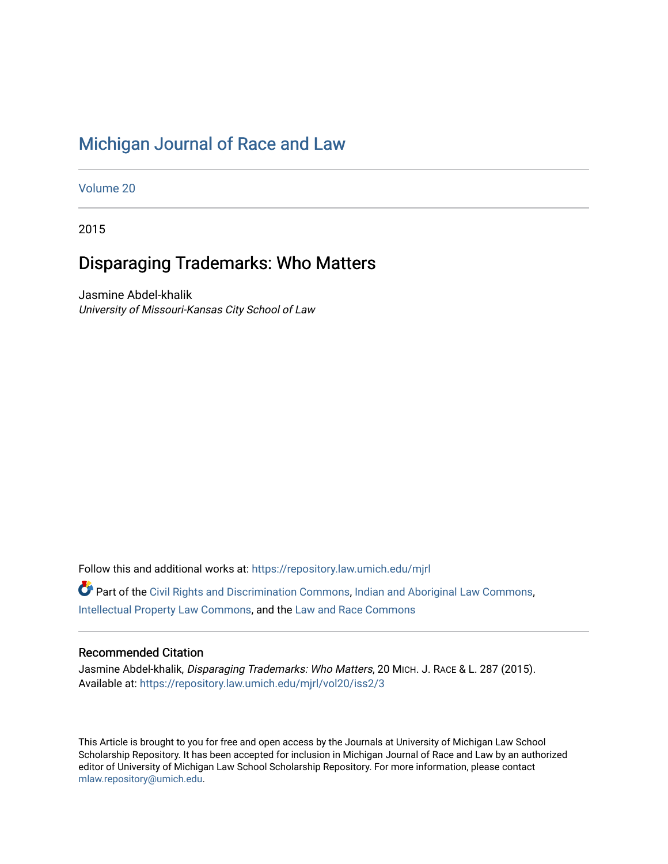# [Michigan Journal of Race and Law](https://repository.law.umich.edu/mjrl)

[Volume 20](https://repository.law.umich.edu/mjrl/vol20)

2015

# Disparaging Trademarks: Who Matters

Jasmine Abdel-khalik University of Missouri-Kansas City School of Law

Follow this and additional works at: [https://repository.law.umich.edu/mjrl](https://repository.law.umich.edu/mjrl?utm_source=repository.law.umich.edu%2Fmjrl%2Fvol20%2Fiss2%2F3&utm_medium=PDF&utm_campaign=PDFCoverPages) 

Part of the [Civil Rights and Discrimination Commons,](http://network.bepress.com/hgg/discipline/585?utm_source=repository.law.umich.edu%2Fmjrl%2Fvol20%2Fiss2%2F3&utm_medium=PDF&utm_campaign=PDFCoverPages) [Indian and Aboriginal Law Commons,](http://network.bepress.com/hgg/discipline/894?utm_source=repository.law.umich.edu%2Fmjrl%2Fvol20%2Fiss2%2F3&utm_medium=PDF&utm_campaign=PDFCoverPages) [Intellectual Property Law Commons,](http://network.bepress.com/hgg/discipline/896?utm_source=repository.law.umich.edu%2Fmjrl%2Fvol20%2Fiss2%2F3&utm_medium=PDF&utm_campaign=PDFCoverPages) and the [Law and Race Commons](http://network.bepress.com/hgg/discipline/1300?utm_source=repository.law.umich.edu%2Fmjrl%2Fvol20%2Fiss2%2F3&utm_medium=PDF&utm_campaign=PDFCoverPages)

## Recommended Citation

Jasmine Abdel-khalik, Disparaging Trademarks: Who Matters, 20 MICH. J. RACE & L. 287 (2015). Available at: [https://repository.law.umich.edu/mjrl/vol20/iss2/3](https://repository.law.umich.edu/mjrl/vol20/iss2/3?utm_source=repository.law.umich.edu%2Fmjrl%2Fvol20%2Fiss2%2F3&utm_medium=PDF&utm_campaign=PDFCoverPages) 

This Article is brought to you for free and open access by the Journals at University of Michigan Law School Scholarship Repository. It has been accepted for inclusion in Michigan Journal of Race and Law by an authorized editor of University of Michigan Law School Scholarship Repository. For more information, please contact [mlaw.repository@umich.edu.](mailto:mlaw.repository@umich.edu)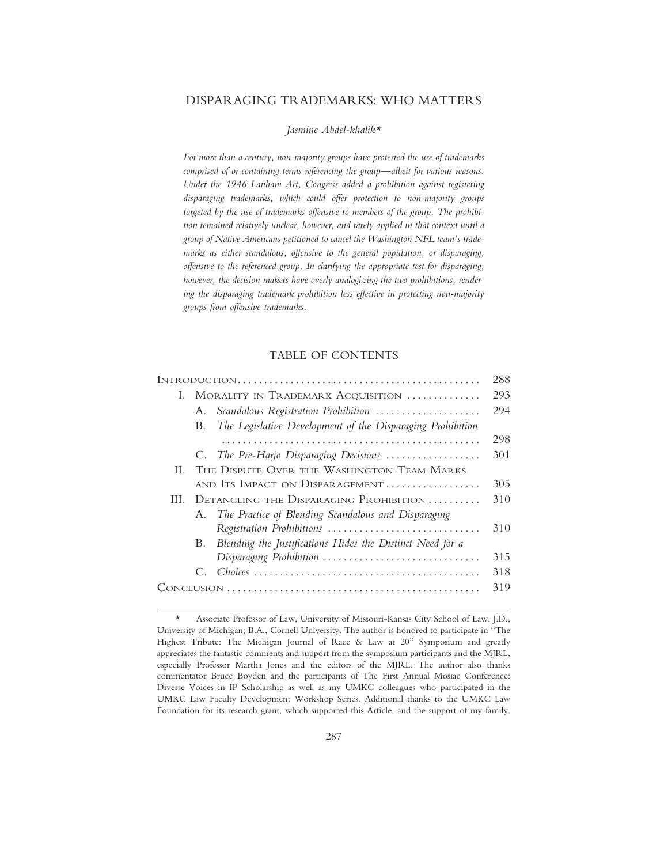## DISPARAGING TRADEMARKS: WHO MATTERS

*Jasmine Abdel-khalik\**

*For more than a century, non-majority groups have protested the use of trademarks comprised of or containing terms referencing the group—albeit for various reasons. Under the 1946 Lanham Act, Congress added a prohibition against registering disparaging trademarks, which could offer protection to non-majority groups targeted by the use of trademarks offensive to members of the group. The prohibition remained relatively unclear, however, and rarely applied in that context until a group of Native Americans petitioned to cancel the Washington NFL team's trademarks as either scandalous, offensive to the general population, or disparaging, offensive to the referenced group. In clarifying the appropriate test for disparaging, however, the decision makers have overly analogizing the two prohibitions, rendering the disparaging trademark prohibition less effective in protecting non-majority groups from offensive trademarks.*

## TABLE OF CONTENTS

|     |                                            |                                                            | 288 |
|-----|--------------------------------------------|------------------------------------------------------------|-----|
| L   | MORALITY IN TRADEMARK ACQUISITION          |                                                            | 293 |
|     | А.                                         | Scandalous Registration Prohibition                        | 294 |
|     | В.                                         | The Legislative Development of the Disparaging Prohibition |     |
|     |                                            |                                                            | 298 |
|     |                                            | C. The Pre-Harjo Disparaging Decisions                     | 301 |
| Н.  | THE DISPUTE OVER THE WASHINGTON TEAM MARKS |                                                            |     |
|     |                                            | AND ITS IMPACT ON DISPARAGEMENT                            | 305 |
| HL. | DETANGLING THE DISPARAGING PROHIBITION     |                                                            | 310 |
|     | A.                                         | The Practice of Blending Scandalous and Disparaging        |     |
|     |                                            | Registration Prohibitions                                  | 310 |
|     | B.                                         | Blending the Justifications Hides the Distinct Need for a  |     |
|     |                                            | Disparaging Prohibition                                    | 315 |
|     |                                            |                                                            | 318 |
|     |                                            |                                                            | 319 |
|     |                                            |                                                            |     |

<sup>\*</sup> Associate Professor of Law, University of Missouri-Kansas City School of Law. J.D., University of Michigan; B.A., Cornell University. The author is honored to participate in "The Highest Tribute: The Michigan Journal of Race & Law at 20" Symposium and greatly appreciates the fantastic comments and support from the symposium participants and the MJRL, especially Professor Martha Jones and the editors of the MJRL. The author also thanks commentator Bruce Boyden and the participants of The First Annual Mosiac Conference: Diverse Voices in IP Scholarship as well as my UMKC colleagues who participated in the UMKC Law Faculty Development Workshop Series. Additional thanks to the UMKC Law Foundation for its research grant, which supported this Article, and the support of my family.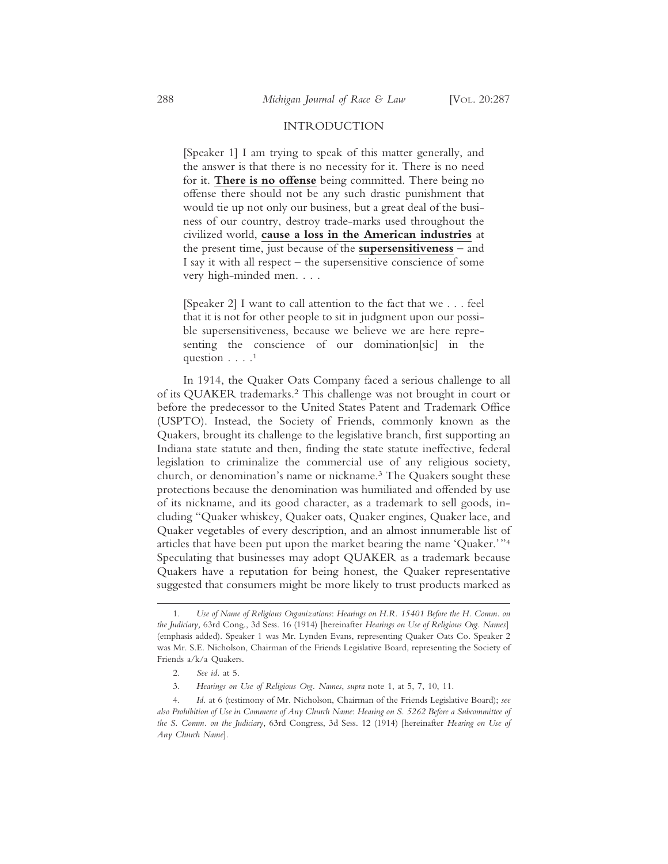### INTRODUCTION

[Speaker 1] I am trying to speak of this matter generally, and the answer is that there is no necessity for it. There is no need for it. **There is no offense** being committed. There being no offense there should not be any such drastic punishment that would tie up not only our business, but a great deal of the business of our country, destroy trade-marks used throughout the civilized world, **cause a loss in the American industries** at the present time, just because of the **supersensitiveness** – and I say it with all respect – the supersensitive conscience of some very high-minded men. . . .

[Speaker 2] I want to call attention to the fact that we . . . feel that it is not for other people to sit in judgment upon our possible supersensitiveness, because we believe we are here representing the conscience of our domination[sic] in the question  $\ldots$ .<sup>1</sup>

In 1914, the Quaker Oats Company faced a serious challenge to all of its QUAKER trademarks.2 This challenge was not brought in court or before the predecessor to the United States Patent and Trademark Office (USPTO). Instead, the Society of Friends, commonly known as the Quakers, brought its challenge to the legislative branch, first supporting an Indiana state statute and then, finding the state statute ineffective, federal legislation to criminalize the commercial use of any religious society, church, or denomination's name or nickname.3 The Quakers sought these protections because the denomination was humiliated and offended by use of its nickname, and its good character, as a trademark to sell goods, including "Quaker whiskey, Quaker oats, Quaker engines, Quaker lace, and Quaker vegetables of every description, and an almost innumerable list of articles that have been put upon the market bearing the name 'Quaker.'"4 Speculating that businesses may adopt QUAKER as a trademark because Quakers have a reputation for being honest, the Quaker representative suggested that consumers might be more likely to trust products marked as

<sup>1.</sup> *Use of Name of Religious Organizations*: *Hearings on H.R. 15401 Before the H. Comm. on the Judiciary,* 63rd Cong., 3d Sess. 16 (1914) [hereinafter *Hearings on Use of Religious Org. Names*] (emphasis added). Speaker 1 was Mr. Lynden Evans, representing Quaker Oats Co. Speaker 2 was Mr. S.E. Nicholson, Chairman of the Friends Legislative Board, representing the Society of Friends a/k/a Quakers.

<sup>2.</sup> *See id.* at 5.

<sup>3.</sup> *Hearings on Use of Religious Org. Names*, *supra* note 1, at 5, 7, 10, 11.

<sup>4.</sup> *Id.* at 6 (testimony of Mr. Nicholson, Chairman of the Friends Legislative Board); *see also Prohibition of Use in Commerce of Any Church Name*: *Hearing on S. 5262 Before a Subcommittee of the S. Comm. on the Judiciary*, 63rd Congress, 3d Sess. 12 (1914) [hereinafter *Hearing on Use of Any Church Name*].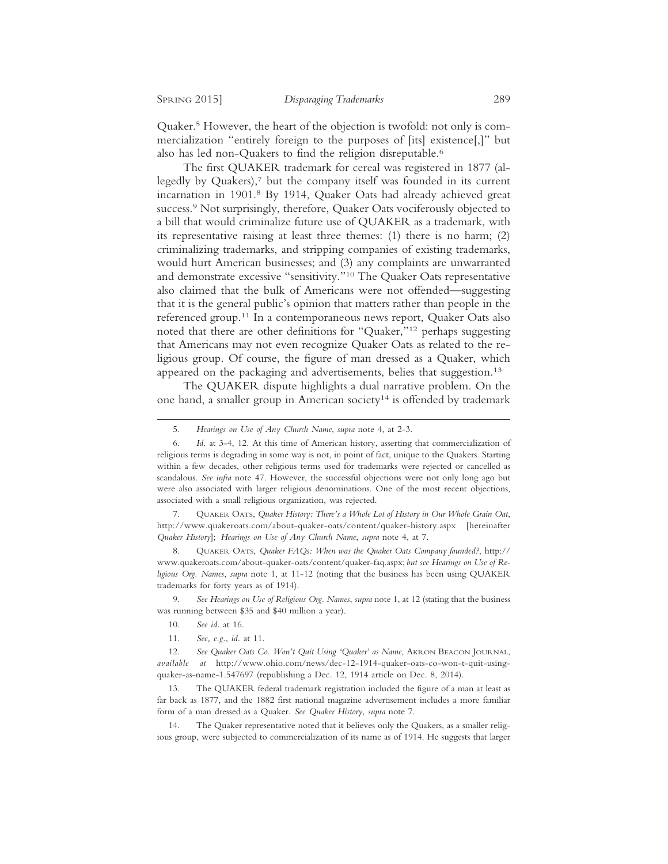Quaker.5 However, the heart of the objection is twofold: not only is commercialization "entirely foreign to the purposes of [its] existence[,]" but also has led non-Quakers to find the religion disreputable.<sup>6</sup>

The first QUAKER trademark for cereal was registered in 1877 (allegedly by Quakers),7 but the company itself was founded in its current incarnation in 1901.8 By 1914, Quaker Oats had already achieved great success.<sup>9</sup> Not surprisingly, therefore, Quaker Oats vociferously objected to a bill that would criminalize future use of QUAKER as a trademark, with its representative raising at least three themes: (1) there is no harm; (2) criminalizing trademarks, and stripping companies of existing trademarks, would hurt American businesses; and (3) any complaints are unwarranted and demonstrate excessive "sensitivity."10 The Quaker Oats representative also claimed that the bulk of Americans were not offended—suggesting that it is the general public's opinion that matters rather than people in the referenced group.11 In a contemporaneous news report, Quaker Oats also noted that there are other definitions for "Quaker,"12 perhaps suggesting that Americans may not even recognize Quaker Oats as related to the religious group. Of course, the figure of man dressed as a Quaker, which appeared on the packaging and advertisements, belies that suggestion.<sup>13</sup>

The QUAKER dispute highlights a dual narrative problem. On the one hand, a smaller group in American society<sup>14</sup> is offended by trademark

7. QUAKER OATS, *Quaker History: There's a Whole Lot of History in Our Whole Grain Oat*, http://www.quakeroats.com/about-quaker-oats/content/quaker-history.aspx [hereinafter *Quaker History*]; *Hearings on Use of Any Church Name*, *supra* note 4, at 7.

8. QUAKER OATS, *Quaker FAQs: When was the Quaker Oats Company founded?*, http:// www.quakeroats.com/about-quaker-oats/content/quaker-faq.aspx; *but see Hearings on Use of Religious Org. Names*, *supra* note 1, at 11-12 (noting that the business has been using QUAKER trademarks for forty years as of 1914).

9. *See Hearings on Use of Religious Org. Names*, *supra* note 1, at 12 (stating that the business was running between \$35 and \$40 million a year).

14. The Quaker representative noted that it believes only the Quakers, as a smaller religious group, were subjected to commercialization of its name as of 1914. He suggests that larger

<sup>5.</sup> *Hearings on Use of Any Church Name*, *supra* note 4, at 2-3.

<sup>6.</sup> *Id.* at 3-4, 12. At this time of American history, asserting that commercialization of religious terms is degrading in some way is not, in point of fact, unique to the Quakers. Starting within a few decades, other religious terms used for trademarks were rejected or cancelled as scandalous. *See infra* note 47. However, the successful objections were not only long ago but were also associated with larger religious denominations. One of the most recent objections, associated with a small religious organization, was rejected.

<sup>10.</sup> *See id.* at 16.

<sup>11.</sup> *See, e.g.*, *id.* at 11.

<sup>12.</sup> *See Quaker Oats Co. Won't Quit Using 'Quaker' as Name*, AKRON BEACON JOURNAL, *available at* http://www.ohio.com/news/dec-12-1914-quaker-oats-co-won-t-quit-usingquaker-as-name-1.547697 (republishing a Dec. 12, 1914 article on Dec. 8, 2014).

<sup>13.</sup> The QUAKER federal trademark registration included the figure of a man at least as far back as 1877, and the 1882 first national magazine advertisement includes a more familiar form of a man dressed as a Quaker. *See Quaker History*, *supra* note 7.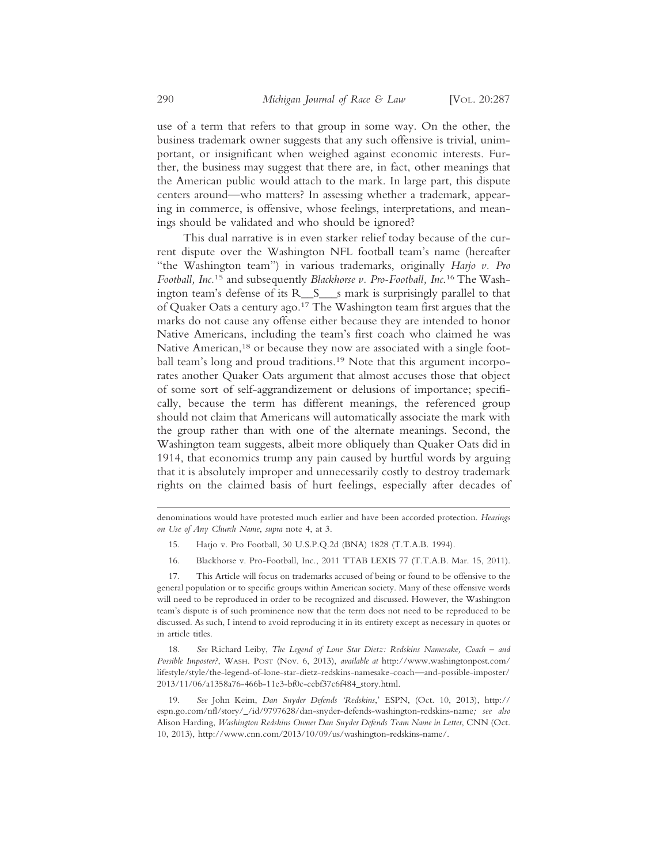use of a term that refers to that group in some way. On the other, the business trademark owner suggests that any such offensive is trivial, unimportant, or insignificant when weighed against economic interests. Further, the business may suggest that there are, in fact, other meanings that the American public would attach to the mark. In large part, this dispute centers around—who matters? In assessing whether a trademark, appearing in commerce, is offensive, whose feelings, interpretations, and meanings should be validated and who should be ignored?

This dual narrative is in even starker relief today because of the current dispute over the Washington NFL football team's name (hereafter "the Washington team") in various trademarks, originally *Harjo v. Pro Football, Inc.*15 and subsequently *Blackhorse v. Pro-Football, Inc*. 16 The Washington team's defense of its R\_\_S\_\_\_s mark is surprisingly parallel to that of Quaker Oats a century ago.17 The Washington team first argues that the marks do not cause any offense either because they are intended to honor Native Americans, including the team's first coach who claimed he was Native American,<sup>18</sup> or because they now are associated with a single football team's long and proud traditions.<sup>19</sup> Note that this argument incorporates another Quaker Oats argument that almost accuses those that object of some sort of self-aggrandizement or delusions of importance; specifically, because the term has different meanings, the referenced group should not claim that Americans will automatically associate the mark with the group rather than with one of the alternate meanings. Second, the Washington team suggests, albeit more obliquely than Quaker Oats did in 1914, that economics trump any pain caused by hurtful words by arguing that it is absolutely improper and unnecessarily costly to destroy trademark rights on the claimed basis of hurt feelings, especially after decades of

- 15. Harjo v. Pro Football, 30 U.S.P.Q.2d (BNA) 1828 (T.T.A.B. 1994).
- 16. Blackhorse v. Pro-Football, Inc., 2011 TTAB LEXIS 77 (T.T.A.B. Mar. 15, 2011).

17. This Article will focus on trademarks accused of being or found to be offensive to the general population or to specific groups within American society. Many of these offensive words will need to be reproduced in order to be recognized and discussed. However, the Washington team's dispute is of such prominence now that the term does not need to be reproduced to be discussed. As such, I intend to avoid reproducing it in its entirety except as necessary in quotes or in article titles.

18. *See* Richard Leiby, *The Legend of Lone Star Dietz: Redskins Namesake, Coach – and Possible Imposter?*, WASH. POST (Nov. 6, 2013), *available at* http://www.washingtonpost.com/ lifestyle/style/the-legend-of-lone-star-dietz-redskins-namesake-coach—and-possible-imposter/ 2013/11/06/a1358a76-466b-11e3-bf0c-cebf37c6f484\_story.html.

19. *See* John Keim, *Dan Snyder Defends 'Redskins*,' ESPN, (Oct. 10, 2013), http:// espn.go.com/nfl/story/\_/id/9797628/dan-snyder-defends-washington-redskins-name*; see also* Alison Harding, *Washington Redskins Owner Dan Snyder Defends Team Name in Letter*, CNN (Oct. 10, 2013), http://www.cnn.com/2013/10/09/us/washington-redskins-name/.

denominations would have protested much earlier and have been accorded protection. *Hearings on Use of Any Church Name*, *supra* note 4, at 3.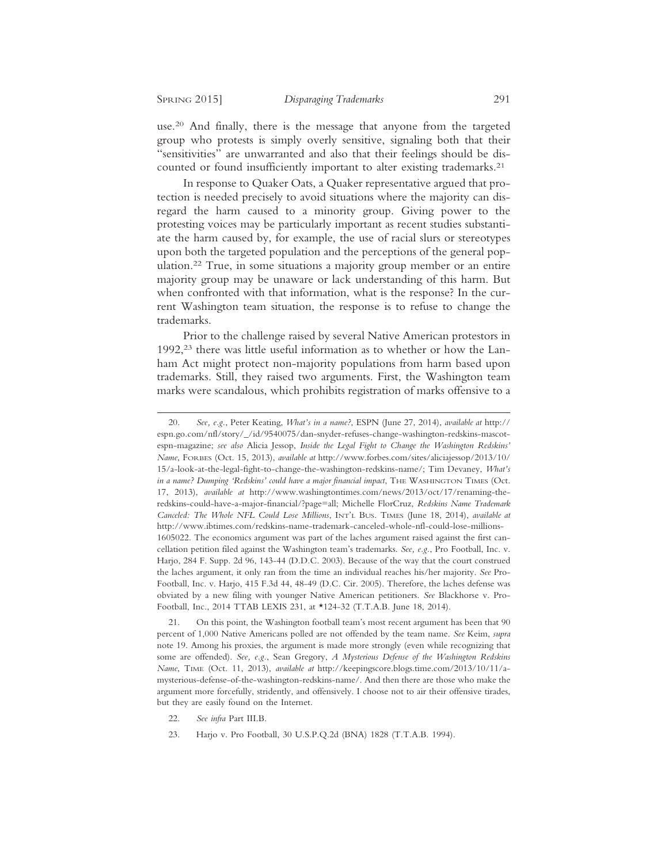use.20 And finally, there is the message that anyone from the targeted group who protests is simply overly sensitive, signaling both that their "sensitivities" are unwarranted and also that their feelings should be discounted or found insufficiently important to alter existing trademarks.<sup>21</sup>

In response to Quaker Oats, a Quaker representative argued that protection is needed precisely to avoid situations where the majority can disregard the harm caused to a minority group. Giving power to the protesting voices may be particularly important as recent studies substantiate the harm caused by, for example, the use of racial slurs or stereotypes upon both the targeted population and the perceptions of the general population.22 True, in some situations a majority group member or an entire majority group may be unaware or lack understanding of this harm. But when confronted with that information, what is the response? In the current Washington team situation, the response is to refuse to change the trademarks.

Prior to the challenge raised by several Native American protestors in 1992,23 there was little useful information as to whether or how the Lanham Act might protect non-majority populations from harm based upon trademarks. Still, they raised two arguments. First, the Washington team marks were scandalous, which prohibits registration of marks offensive to a

22. *See infra* Part III.B.

<sup>20.</sup> *See, e.g.*, Peter Keating, *What's in a name?*, ESPN (June 27, 2014), *available at* http:// espn.go.com/nfl/story/\_/id/9540075/dan-snyder-refuses-change-washington-redskins-mascotespn-magazine; *see also* Alicia Jessop, *Inside the Legal Fight to Change the Washington Redskins' Name*, FORBES (Oct. 15, 2013), *available at* http://www.forbes.com/sites/aliciajessop/2013/10/ 15/a-look-at-the-legal-fight-to-change-the-washington-redskins-name/; Tim Devaney, *What's in a name? Dumping 'Redskins' could have a major financial impact*, THE WASHINGTON TIMES (Oct. 17, 2013), *available at* http://www.washingtontimes.com/news/2013/oct/17/renaming-theredskins-could-have-a-major-financial/?page=all; Michelle FlorCruz, *Redskins Name Trademark Canceled: The Whole NFL Could Lose Millions*, INT'L BUS. TIMES (June 18, 2014), *available at* http://www.ibtimes.com/redskins-name-trademark-canceled-whole-nfl-could-lose-millions-1605022. The economics argument was part of the laches argument raised against the first cancellation petition filed against the Washington team's trademarks. *See, e.g.*, Pro Football, Inc. v. Harjo, 284 F. Supp. 2d 96, 143-44 (D.D.C. 2003). Because of the way that the court construed the laches argument, it only ran from the time an individual reaches his/her majority. *See* Pro-Football, Inc. v. Harjo, 415 F.3d 44, 48-49 (D.C. Cir. 2005). Therefore, the laches defense was obviated by a new filing with younger Native American petitioners. *See* Blackhorse v. Pro-Football, Inc., 2014 TTAB LEXIS 231, at \*124-32 (T.T.A.B. June 18, 2014).

<sup>21.</sup> On this point, the Washington football team's most recent argument has been that 90 percent of 1,000 Native Americans polled are not offended by the team name. *See* Keim, *supra* note 19. Among his proxies, the argument is made more strongly (even while recognizing that some are offended). *See, e.g.*, Sean Gregory, *A Mysterious Defense of the Washington Redskins Name*, TIME (Oct. 11, 2013), *available at* http://keepingscore.blogs.time.com/2013/10/11/amysterious-defense-of-the-washington-redskins-name/. And then there are those who make the argument more forcefully, stridently, and offensively. I choose not to air their offensive tirades, but they are easily found on the Internet.

<sup>23.</sup> Harjo v. Pro Football, 30 U.S.P.Q.2d (BNA) 1828 (T.T.A.B. 1994).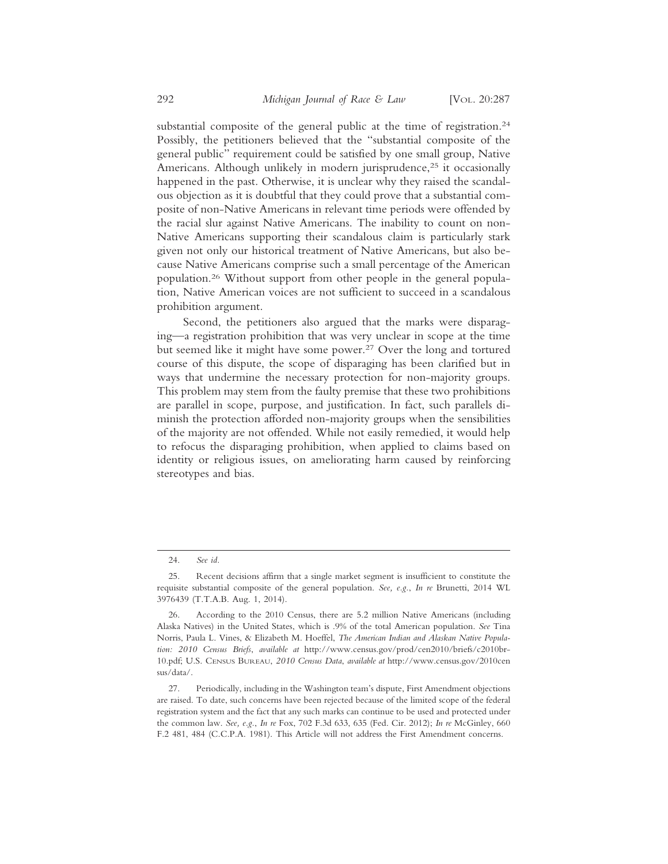substantial composite of the general public at the time of registration.<sup>24</sup> Possibly, the petitioners believed that the "substantial composite of the general public" requirement could be satisfied by one small group, Native Americans. Although unlikely in modern jurisprudence,<sup>25</sup> it occasionally happened in the past. Otherwise, it is unclear why they raised the scandalous objection as it is doubtful that they could prove that a substantial composite of non-Native Americans in relevant time periods were offended by the racial slur against Native Americans. The inability to count on non-Native Americans supporting their scandalous claim is particularly stark given not only our historical treatment of Native Americans, but also because Native Americans comprise such a small percentage of the American population.26 Without support from other people in the general population, Native American voices are not sufficient to succeed in a scandalous prohibition argument.

Second, the petitioners also argued that the marks were disparaging—a registration prohibition that was very unclear in scope at the time but seemed like it might have some power.<sup>27</sup> Over the long and tortured course of this dispute, the scope of disparaging has been clarified but in ways that undermine the necessary protection for non-majority groups. This problem may stem from the faulty premise that these two prohibitions are parallel in scope, purpose, and justification. In fact, such parallels diminish the protection afforded non-majority groups when the sensibilities of the majority are not offended. While not easily remedied, it would help to refocus the disparaging prohibition, when applied to claims based on identity or religious issues, on ameliorating harm caused by reinforcing stereotypes and bias.

<sup>24.</sup> *See id.*

<sup>25.</sup> Recent decisions affirm that a single market segment is insufficient to constitute the requisite substantial composite of the general population. *See, e.g.*, *In re* Brunetti, 2014 WL 3976439 (T.T.A.B. Aug. 1, 2014).

<sup>26.</sup> According to the 2010 Census, there are 5.2 million Native Americans (including Alaska Natives) in the United States, which is .9% of the total American population. *See* Tina Norris, Paula L. Vines, & Elizabeth M. Hoeffel, *The American Indian and Alaskan Native Population: 2010 Census Briefs*, *available at* http://www.census.gov/prod/cen2010/briefs/c2010br-10.pdf; U.S. CENSUS BUREAU, *2010 Census Data*, *available at* http://www.census.gov/2010cen sus/data/.

<sup>27.</sup> Periodically, including in the Washington team's dispute, First Amendment objections are raised. To date, such concerns have been rejected because of the limited scope of the federal registration system and the fact that any such marks can continue to be used and protected under the common law. *See, e.g.*, *In re* Fox, 702 F.3d 633, 635 (Fed. Cir. 2012); *In re* McGinley, 660 F.2 481, 484 (C.C.P.A. 1981). This Article will not address the First Amendment concerns.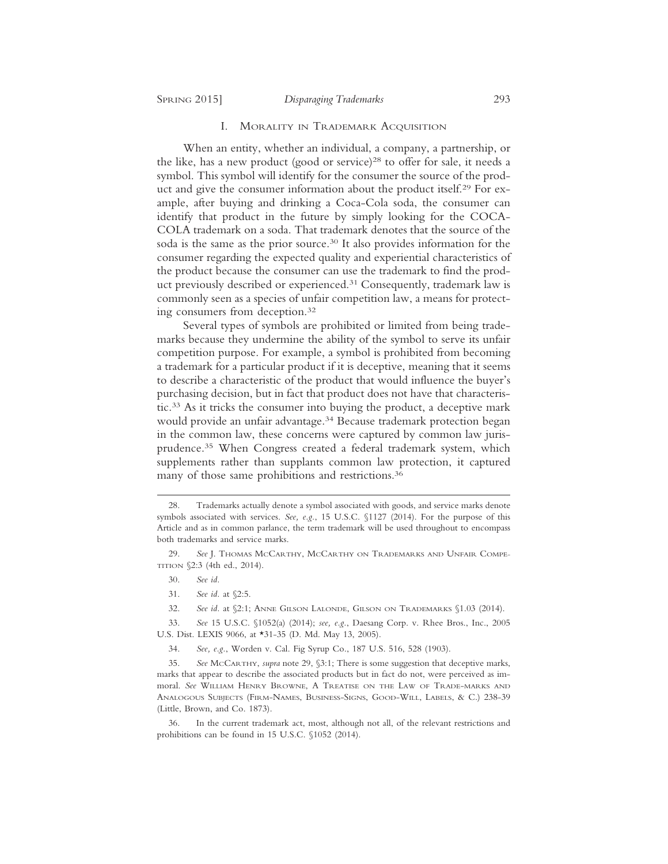#### SPRING 2015] *Disparaging Trademarks* 293

#### I. MORALITY IN TRADEMARK ACQUISITION

When an entity, whether an individual, a company, a partnership, or the like, has a new product (good or service)<sup>28</sup> to offer for sale, it needs a symbol. This symbol will identify for the consumer the source of the product and give the consumer information about the product itself.29 For example, after buying and drinking a Coca-Cola soda, the consumer can identify that product in the future by simply looking for the COCA-COLA trademark on a soda. That trademark denotes that the source of the soda is the same as the prior source.30 It also provides information for the consumer regarding the expected quality and experiential characteristics of the product because the consumer can use the trademark to find the product previously described or experienced.31 Consequently, trademark law is commonly seen as a species of unfair competition law, a means for protecting consumers from deception.32

Several types of symbols are prohibited or limited from being trademarks because they undermine the ability of the symbol to serve its unfair competition purpose. For example, a symbol is prohibited from becoming a trademark for a particular product if it is deceptive, meaning that it seems to describe a characteristic of the product that would influence the buyer's purchasing decision, but in fact that product does not have that characteristic.33 As it tricks the consumer into buying the product, a deceptive mark would provide an unfair advantage.<sup>34</sup> Because trademark protection began in the common law, these concerns were captured by common law jurisprudence.35 When Congress created a federal trademark system, which supplements rather than supplants common law protection, it captured many of those same prohibitions and restrictions.<sup>36</sup>

<sup>28.</sup> Trademarks actually denote a symbol associated with goods, and service marks denote symbols associated with services. *See, e.g.*, 15 U.S.C. §1127 (2014). For the purpose of this Article and as in common parlance, the term trademark will be used throughout to encompass both trademarks and service marks.

<sup>29.</sup> *See* J. THOMAS MCCARTHY, MCCARTHY ON TRADEMARKS AND UNFAIR COMPE-TITION §2:3 (4th ed., 2014).

<sup>30.</sup> *See id.*

<sup>31.</sup> *See id.* at §2:5.

<sup>32.</sup> *See id.* at §2:1; ANNE GILSON LALONDE, GILSON ON TRADEMARKS §1.03 (2014).

<sup>33.</sup> *See* 15 U.S.C. §1052(a) (2014); *see, e.g.*, Daesang Corp. v. Rhee Bros., Inc., 2005 U.S. Dist. LEXIS 9066, at \*31-35 (D. Md. May 13, 2005).

<sup>34.</sup> *See, e.g.*, Worden v. Cal. Fig Syrup Co., 187 U.S. 516, 528 (1903).

<sup>35.</sup> *See* MCCARTHY, *supra* note 29, §3:1; There is some suggestion that deceptive marks, marks that appear to describe the associated products but in fact do not, were perceived as immoral. *See* WILLIAM HENRY BROWNE, A TREATISE ON THE LAW OF TRADE-MARKS AND ANALOGOUS SUBJECTS (FIRM-NAMES, BUSINESS-SIGNS, GOOD-WILL, LABELS, & C.) 238-39 (Little, Brown, and Co. 1873).

<sup>36.</sup> In the current trademark act, most, although not all, of the relevant restrictions and prohibitions can be found in 15 U.S.C. §1052 (2014).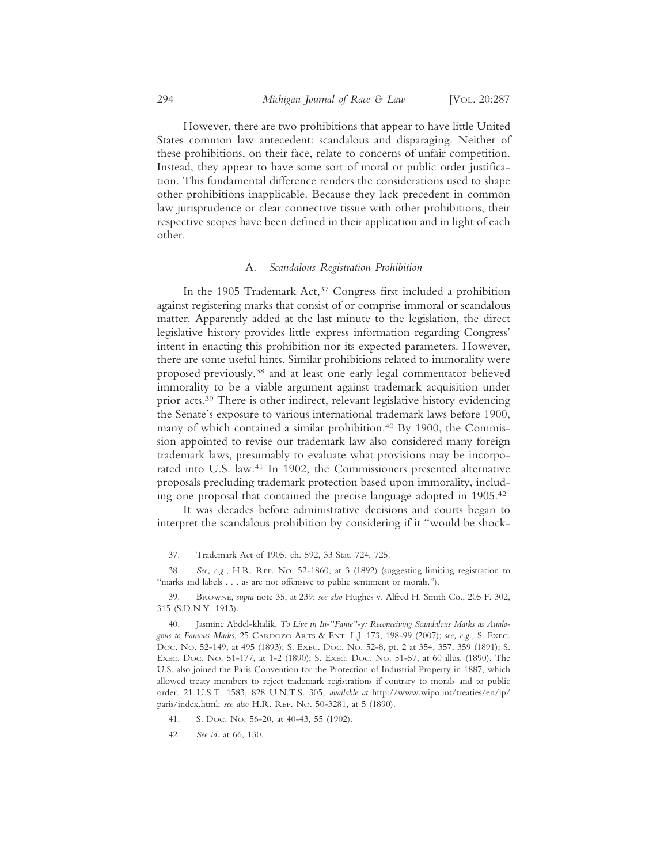However, there are two prohibitions that appear to have little United States common law antecedent: scandalous and disparaging. Neither of these prohibitions, on their face, relate to concerns of unfair competition. Instead, they appear to have some sort of moral or public order justification. This fundamental difference renders the considerations used to shape other prohibitions inapplicable. Because they lack precedent in common law jurisprudence or clear connective tissue with other prohibitions, their respective scopes have been defined in their application and in light of each other.

#### A. *Scandalous Registration Prohibition*

In the 1905 Trademark Act,<sup>37</sup> Congress first included a prohibition against registering marks that consist of or comprise immoral or scandalous matter. Apparently added at the last minute to the legislation, the direct legislative history provides little express information regarding Congress' intent in enacting this prohibition nor its expected parameters. However, there are some useful hints. Similar prohibitions related to immorality were proposed previously,38 and at least one early legal commentator believed immorality to be a viable argument against trademark acquisition under prior acts.39 There is other indirect, relevant legislative history evidencing the Senate's exposure to various international trademark laws before 1900, many of which contained a similar prohibition.<sup>40</sup> By 1900, the Commission appointed to revise our trademark law also considered many foreign trademark laws, presumably to evaluate what provisions may be incorporated into U.S. law.41 In 1902, the Commissioners presented alternative proposals precluding trademark protection based upon immorality, including one proposal that contained the precise language adopted in 1905.42

It was decades before administrative decisions and courts began to interpret the scandalous prohibition by considering if it "would be shock-

<sup>37.</sup> Trademark Act of 1905, ch. 592, 33 Stat. 724, 725.

<sup>38.</sup> *See, e.g.*, H.R. REP. NO. 52-1860, at 3 (1892) (suggesting limiting registration to "marks and labels . . . as are not offensive to public sentiment or morals.").

<sup>39.</sup> BROWNE, *supra* note 35, at 239; *see also* Hughes v. Alfred H. Smith Co., 205 F. 302, 315 (S.D.N.Y. 1913).

<sup>40.</sup> Jasmine Abdel-khalik, *To Live in In-"Fame"-y: Reconceiving Scandalous Marks as Analogous to Famous Marks*, 25 CARDOZO ARTS & ENT. L.J. 173, 198-99 (2007); *see, e.g.*, S. EXEC. DOC. NO. 52-149, at 495 (1893); S. EXEC. DOC. NO. 52-8, pt. 2 at 354, 357, 359 (1891); S. EXEC. DOC. NO. 51-177, at 1-2 (1890); S. EXEC. DOC. NO. 51-57, at 60 illus. (1890). The U.S. also joined the Paris Convention for the Protection of Industrial Property in 1887, which allowed treaty members to reject trademark registrations if contrary to morals and to public order. 21 U.S.T. 1583, 828 U.N.T.S. 305, *available at* http://www.wipo.int/treaties/en/ip/ paris/index.html; *see also* H.R. REP. NO. 50-3281, at 5 (1890).

<sup>41.</sup> S. DOC. NO. 56-20, at 40-43, 55 (1902).

<sup>42.</sup> *See id.* at 66, 130.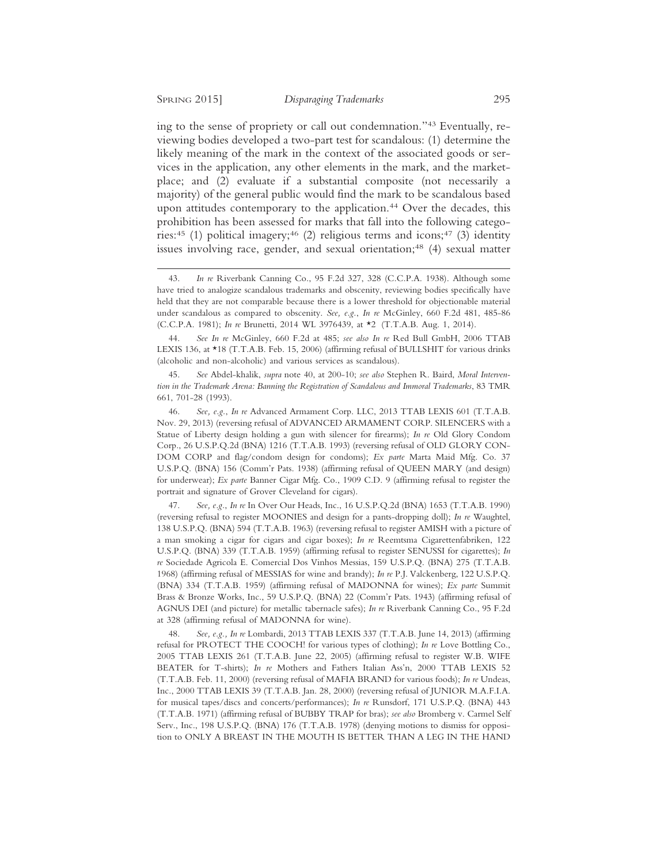ing to the sense of propriety or call out condemnation."43 Eventually, reviewing bodies developed a two-part test for scandalous: (1) determine the likely meaning of the mark in the context of the associated goods or services in the application, any other elements in the mark, and the marketplace; and (2) evaluate if a substantial composite (not necessarily a majority) of the general public would find the mark to be scandalous based upon attitudes contemporary to the application.<sup>44</sup> Over the decades, this prohibition has been assessed for marks that fall into the following categories:<sup>45</sup> (1) political imagery;<sup>46</sup> (2) religious terms and icons;<sup>47</sup> (3) identity issues involving race, gender, and sexual orientation;<sup>48</sup> (4) sexual matter

44. *See In re* McGinley, 660 F.2d at 485; *see also In re* Red Bull GmbH, 2006 TTAB LEXIS 136, at \*18 (T.T.A.B. Feb. 15, 2006) (affirming refusal of BULLSHIT for various drinks (alcoholic and non-alcoholic) and various services as scandalous).

45. *See* Abdel-khalik, *supra* note 40, at 200-10; *see also* Stephen R. Baird, *Moral Intervention in the Trademark Arena: Banning the Registration of Scandalous and Immoral Trademarks*, 83 TMR 661, 701-28 (1993).

46. *See, e.g.*, *In re* Advanced Armament Corp. LLC, 2013 TTAB LEXIS 601 (T.T.A.B. Nov. 29, 2013) (reversing refusal of ADVANCED ARMAMENT CORP. SILENCERS with a Statue of Liberty design holding a gun with silencer for firearms); *In re* Old Glory Condom Corp., 26 U.S.P.Q.2d (BNA) 1216 (T.T.A.B. 1993) (reversing refusal of OLD GLORY CON-DOM CORP and flag/condom design for condoms); *Ex parte* Marta Maid Mfg. Co. 37 U.S.P.Q. (BNA) 156 (Comm'r Pats. 1938) (affirming refusal of QUEEN MARY (and design) for underwear); *Ex parte* Banner Cigar Mfg. Co., 1909 C.D. 9 (affirming refusal to register the portrait and signature of Grover Cleveland for cigars).

47. *See, e.g.*, *In re* In Over Our Heads, Inc., 16 U.S.P.Q.2d (BNA) 1653 (T.T.A.B. 1990) (reversing refusal to register MOONIES and design for a pants-dropping doll); *In re* Waughtel, 138 U.S.P.Q. (BNA) 594 (T.T.A.B. 1963) (reversing refusal to register AMISH with a picture of a man smoking a cigar for cigars and cigar boxes); *In re* Reemtsma Cigarettenfabriken, 122 U.S.P.Q. (BNA) 339 (T.T.A.B. 1959) (affirming refusal to register SENUSSI for cigarettes); *In re* Sociedade Agricola E. Comercial Dos Vinhos Messias, 159 U.S.P.Q. (BNA) 275 (T.T.A.B. 1968) (affirming refusal of MESSIAS for wine and brandy); *In re* P.J. Valckenberg, 122 U.S.P.Q. (BNA) 334 (T.T.A.B. 1959) (affirming refusal of MADONNA for wines); *Ex parte* Summit Brass & Bronze Works, Inc., 59 U.S.P.Q. (BNA) 22 (Comm'r Pats. 1943) (affirming refusal of AGNUS DEI (and picture) for metallic tabernacle safes); *In re* Riverbank Canning Co., 95 F.2d at 328 (affirming refusal of MADONNA for wine).

48. *See, e.g., In re* Lombardi, 2013 TTAB LEXIS 337 (T.T.A.B. June 14, 2013) (affirming refusal for PROTECT THE COOCH! for various types of clothing); *In re* Love Bottling Co., 2005 TTAB LEXIS 261 (T.T.A.B. June 22, 2005) (affirming refusal to register W.B. WIFE BEATER for T-shirts); *In re* Mothers and Fathers Italian Ass'n, 2000 TTAB LEXIS 52 (T.T.A.B. Feb. 11, 2000) (reversing refusal of MAFIA BRAND for various foods); *In re* Undeas, Inc., 2000 TTAB LEXIS 39 (T.T.A.B. Jan. 28, 2000) (reversing refusal of JUNIOR M.A.F.I.A. for musical tapes/discs and concerts/performances); *In re* Runsdorf, 171 U.S.P.Q. (BNA) 443 (T.T.A.B. 1971) (affirming refusal of BUBBY TRAP for bras); *see also* Bromberg v. Carmel Self Serv., Inc., 198 U.S.P.Q. (BNA) 176 (T.T.A.B. 1978) (denying motions to dismiss for opposition to ONLY A BREAST IN THE MOUTH IS BETTER THAN A LEG IN THE HAND

<sup>43.</sup> *In re* Riverbank Canning Co., 95 F.2d 327, 328 (C.C.P.A. 1938). Although some have tried to analogize scandalous trademarks and obscenity, reviewing bodies specifically have held that they are not comparable because there is a lower threshold for objectionable material under scandalous as compared to obscenity. *See, e.g.*, *In re* McGinley, 660 F.2d 481, 485-86 (C.C.P.A. 1981); *In re* Brunetti, 2014 WL 3976439, at \*2 (T.T.A.B. Aug. 1, 2014).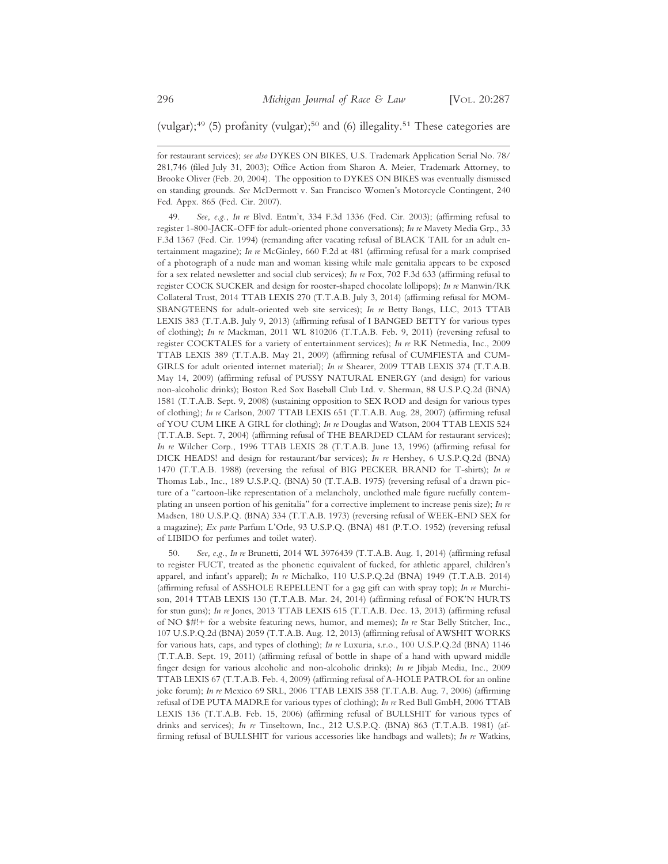(vulgar); $49$  (5) profanity (vulgar); $50$  and (6) illegality. $51$  These categories are

for restaurant services); *see also* DYKES ON BIKES, U.S. Trademark Application Serial No. 78/ 281,746 (filed July 31, 2003); Office Action from Sharon A. Meier, Trademark Attorney, to Brooke Oliver (Feb. 20, 2004). The opposition to DYKES ON BIKES was eventually dismissed on standing grounds. *See* McDermott v. San Francisco Women's Motorcycle Contingent, 240 Fed. Appx. 865 (Fed. Cir. 2007).

49. *See, e.g.*, *In re* Blvd. Entm't, 334 F.3d 1336 (Fed. Cir. 2003); (affirming refusal to register 1-800-JACK-OFF for adult-oriented phone conversations); *In re* Mavety Media Grp., 33 F.3d 1367 (Fed. Cir. 1994) (remanding after vacating refusal of BLACK TAIL for an adult entertainment magazine); *In re* McGinley, 660 F.2d at 481 (affirming refusal for a mark comprised of a photograph of a nude man and woman kissing while male genitalia appears to be exposed for a sex related newsletter and social club services); *In re* Fox, 702 F.3d 633 (affirming refusal to register COCK SUCKER and design for rooster-shaped chocolate lollipops); *In re* Manwin/RK Collateral Trust, 2014 TTAB LEXIS 270 (T.T.A.B. July 3, 2014) (affirming refusal for MOM-SBANGTEENS for adult-oriented web site services); *In re* Betty Bangs, LLC, 2013 TTAB LEXIS 383 (T.T.A.B. July 9, 2013) (affirming refusal of I BANGED BETTY for various types of clothing); *In re* Mackman, 2011 WL 810206 (T.T.A.B. Feb. 9, 2011) (reversing refusal to register COCKTALES for a variety of entertainment services); *In re* RK Netmedia, Inc., 2009 TTAB LEXIS 389 (T.T.A.B. May 21, 2009) (affirming refusal of CUMFIESTA and CUM-GIRLS for adult oriented internet material); *In re* Shearer, 2009 TTAB LEXIS 374 (T.T.A.B. May 14, 2009) (affirming refusal of PUSSY NATURAL ENERGY (and design) for various non-alcoholic drinks); Boston Red Sox Baseball Club Ltd. v. Sherman, 88 U.S.P.Q.2d (BNA) 1581 (T.T.A.B. Sept. 9, 2008) (sustaining opposition to SEX ROD and design for various types of clothing); *In re* Carlson, 2007 TTAB LEXIS 651 (T.T.A.B. Aug. 28, 2007) (affirming refusal of YOU CUM LIKE A GIRL for clothing); *In re* Douglas and Watson, 2004 TTAB LEXIS 524 (T.T.A.B. Sept. 7, 2004) (affirming refusal of THE BEARDED CLAM for restaurant services); *In re* Wilcher Corp., 1996 TTAB LEXIS 28 (T.T.A.B. June 13, 1996) (affirming refusal for DICK HEADS! and design for restaurant/bar services); *In re* Hershey, 6 U.S.P.Q.2d (BNA) 1470 (T.T.A.B. 1988) (reversing the refusal of BIG PECKER BRAND for T-shirts); *In re* Thomas Lab., Inc., 189 U.S.P.Q. (BNA) 50 (T.T.A.B. 1975) (reversing refusal of a drawn picture of a "cartoon-like representation of a melancholy, unclothed male figure ruefully contemplating an unseen portion of his genitalia" for a corrective implement to increase penis size); *In re* Madsen, 180 U.S.P.Q. (BNA) 334 (T.T.A.B. 1973) (reversing refusal of WEEK-END SEX for a magazine); *Ex parte* Parfum L'Orle, 93 U.S.P.Q. (BNA) 481 (P.T.O. 1952) (reversing refusal of LIBIDO for perfumes and toilet water).

50. *See, e.g.*, *In re* Brunetti, 2014 WL 3976439 (T.T.A.B. Aug. 1, 2014) (affirming refusal to register FUCT, treated as the phonetic equivalent of fucked, for athletic apparel, children's apparel, and infant's apparel); *In re* Michalko, 110 U.S.P.Q.2d (BNA) 1949 (T.T.A.B. 2014) (affirming refusal of ASSHOLE REPELLENT for a gag gift can with spray top); *In re* Murchison, 2014 TTAB LEXIS 130 (T.T.A.B. Mar. 24, 2014) (affirming refusal of FOK'N HURTS for stun guns); *In re* Jones, 2013 TTAB LEXIS 615 (T.T.A.B. Dec. 13, 2013) (affirming refusal of NO \$#!+ for a website featuring news, humor, and memes); *In re* Star Belly Stitcher, Inc., 107 U.S.P.Q.2d (BNA) 2059 (T.T.A.B. Aug. 12, 2013) (affirming refusal of AWSHIT WORKS for various hats, caps, and types of clothing); *In re* Luxuria, s.r.o., 100 U.S.P.Q.2d (BNA) 1146 (T.T.A.B. Sept. 19, 2011) (affirming refusal of bottle in shape of a hand with upward middle finger design for various alcoholic and non-alcoholic drinks); *In re* Jibjab Media, Inc., 2009 TTAB LEXIS 67 (T.T.A.B. Feb. 4, 2009) (affirming refusal of A-HOLE PATROL for an online joke forum); *In re* Mexico 69 SRL, 2006 TTAB LEXIS 358 (T.T.A.B. Aug. 7, 2006) (affirming refusal of DE PUTA MADRE for various types of clothing); *In re* Red Bull GmbH, 2006 TTAB LEXIS 136 (T.T.A.B. Feb. 15, 2006) (affirming refusal of BULLSHIT for various types of drinks and services); *In re* Tinseltown, Inc., 212 U.S.P.Q. (BNA) 863 (T.T.A.B. 1981) (affirming refusal of BULLSHIT for various accessories like handbags and wallets); *In re* Watkins,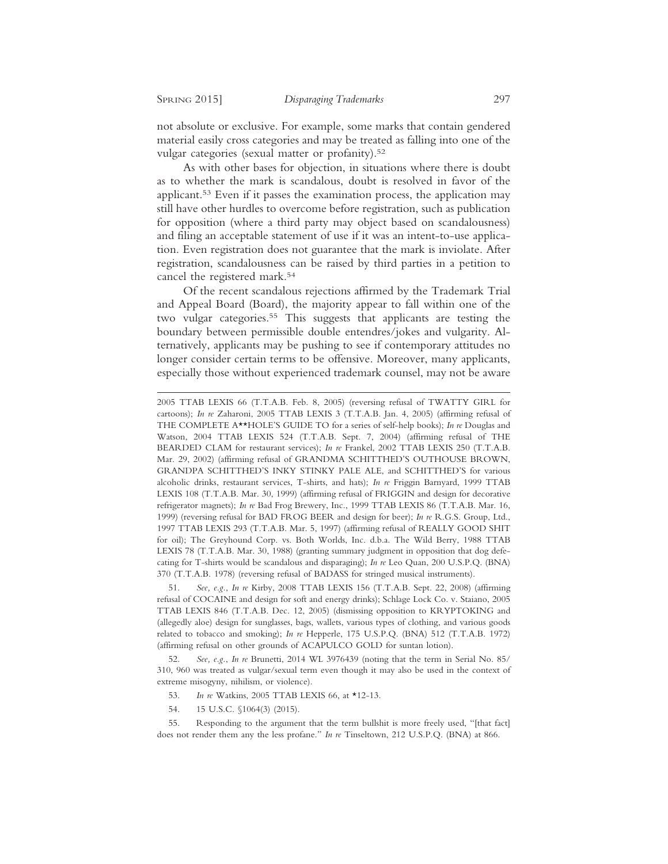not absolute or exclusive. For example, some marks that contain gendered material easily cross categories and may be treated as falling into one of the vulgar categories (sexual matter or profanity).52

As with other bases for objection, in situations where there is doubt as to whether the mark is scandalous, doubt is resolved in favor of the applicant.53 Even if it passes the examination process, the application may still have other hurdles to overcome before registration, such as publication for opposition (where a third party may object based on scandalousness) and filing an acceptable statement of use if it was an intent-to-use application. Even registration does not guarantee that the mark is inviolate. After registration, scandalousness can be raised by third parties in a petition to cancel the registered mark.54

Of the recent scandalous rejections affirmed by the Trademark Trial and Appeal Board (Board), the majority appear to fall within one of the two vulgar categories.<sup>55</sup> This suggests that applicants are testing the boundary between permissible double entendres/jokes and vulgarity. Alternatively, applicants may be pushing to see if contemporary attitudes no longer consider certain terms to be offensive. Moreover, many applicants, especially those without experienced trademark counsel, may not be aware

51. *See, e.g.*, *In re* Kirby, 2008 TTAB LEXIS 156 (T.T.A.B. Sept. 22, 2008) (affirming refusal of COCAINE and design for soft and energy drinks); Schlage Lock Co. v. Staiano, 2005 TTAB LEXIS 846 (T.T.A.B. Dec. 12, 2005) (dismissing opposition to KRYPTOKING and (allegedly aloe) design for sunglasses, bags, wallets, various types of clothing, and various goods related to tobacco and smoking); *In re* Hepperle, 175 U.S.P.Q. (BNA) 512 (T.T.A.B. 1972) (affirming refusal on other grounds of ACAPULCO GOLD for suntan lotion).

52. *See, e.g.*, *In re* Brunetti, 2014 WL 3976439 (noting that the term in Serial No. 85/ 310, 960 was treated as vulgar/sexual term even though it may also be used in the context of extreme misogyny, nihilism, or violence).

- 53. *In re* Watkins, 2005 TTAB LEXIS 66, at \*12-13.
- 54. 15 U.S.C. §1064(3) (2015).

55. Responding to the argument that the term bullshit is more freely used, "[that fact] does not render them any the less profane." *In re* Tinseltown, 212 U.S.P.Q. (BNA) at 866.

<sup>2005</sup> TTAB LEXIS 66 (T.T.A.B. Feb. 8, 2005) (reversing refusal of TWATTY GIRL for cartoons); *In re* Zaharoni, 2005 TTAB LEXIS 3 (T.T.A.B. Jan. 4, 2005) (affirming refusal of THE COMPLETE A\*\*HOLE'S GUIDE TO for a series of self-help books); *In re* Douglas and Watson, 2004 TTAB LEXIS 524 (T.T.A.B. Sept. 7, 2004) (affirming refusal of THE BEARDED CLAM for restaurant services); *In re* Frankel, 2002 TTAB LEXIS 250 (T.T.A.B. Mar. 29, 2002) (affirming refusal of GRANDMA SCHITTHED'S OUTHOUSE BROWN, GRANDPA SCHITTHED'S INKY STINKY PALE ALE, and SCHITTHED'S for various alcoholic drinks, restaurant services, T-shirts, and hats); *In re* Friggin Barnyard, 1999 TTAB LEXIS 108 (T.T.A.B. Mar. 30, 1999) (affirming refusal of FRIGGIN and design for decorative refrigerator magnets); *In re* Bad Frog Brewery, Inc., 1999 TTAB LEXIS 86 (T.T.A.B. Mar. 16, 1999) (reversing refusal for BAD FROG BEER and design for beer); *In re* R.G.S. Group, Ltd., 1997 TTAB LEXIS 293 (T.T.A.B. Mar. 5, 1997) (affirming refusal of REALLY GOOD SHIT for oil); The Greyhound Corp. vs. Both Worlds, Inc. d.b.a. The Wild Berry, 1988 TTAB LEXIS 78 (T.T.A.B. Mar. 30, 1988) (granting summary judgment in opposition that dog defecating for T-shirts would be scandalous and disparaging); *In re* Leo Quan, 200 U.S.P.Q. (BNA) 370 (T.T.A.B. 1978) (reversing refusal of BADASS for stringed musical instruments).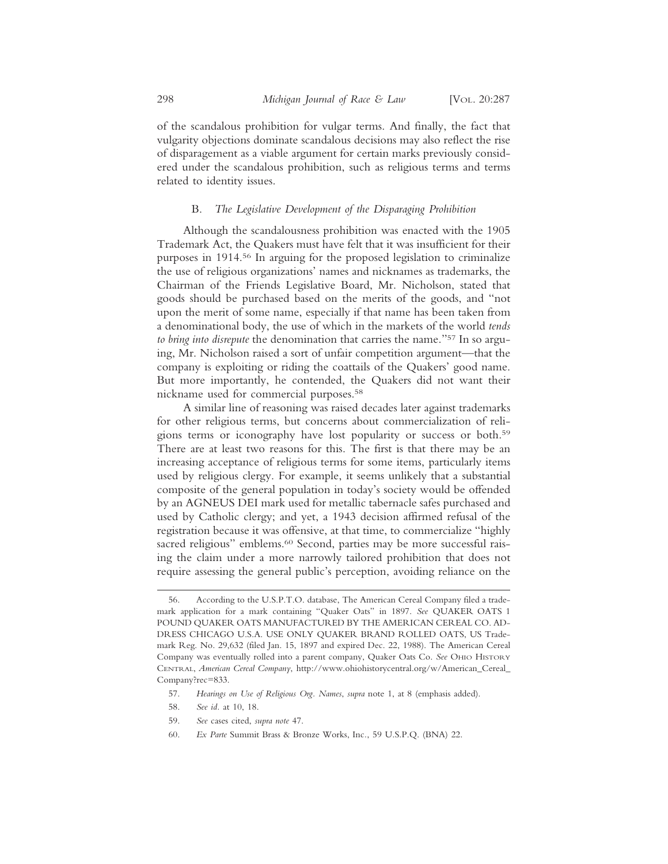of the scandalous prohibition for vulgar terms. And finally, the fact that vulgarity objections dominate scandalous decisions may also reflect the rise of disparagement as a viable argument for certain marks previously considered under the scandalous prohibition, such as religious terms and terms related to identity issues.

#### B. *The Legislative Development of the Disparaging Prohibition*

Although the scandalousness prohibition was enacted with the 1905 Trademark Act, the Quakers must have felt that it was insufficient for their purposes in 1914.56 In arguing for the proposed legislation to criminalize the use of religious organizations' names and nicknames as trademarks, the Chairman of the Friends Legislative Board, Mr. Nicholson, stated that goods should be purchased based on the merits of the goods, and "not upon the merit of some name, especially if that name has been taken from a denominational body, the use of which in the markets of the world *tends to bring into disrepute* the denomination that carries the name."57 In so arguing, Mr. Nicholson raised a sort of unfair competition argument—that the company is exploiting or riding the coattails of the Quakers' good name. But more importantly, he contended, the Quakers did not want their nickname used for commercial purposes.58

A similar line of reasoning was raised decades later against trademarks for other religious terms, but concerns about commercialization of religions terms or iconography have lost popularity or success or both.59 There are at least two reasons for this. The first is that there may be an increasing acceptance of religious terms for some items, particularly items used by religious clergy. For example, it seems unlikely that a substantial composite of the general population in today's society would be offended by an AGNEUS DEI mark used for metallic tabernacle safes purchased and used by Catholic clergy; and yet, a 1943 decision affirmed refusal of the registration because it was offensive, at that time, to commercialize "highly sacred religious" emblems.<sup>60</sup> Second, parties may be more successful raising the claim under a more narrowly tailored prohibition that does not require assessing the general public's perception, avoiding reliance on the

60. *Ex Parte* Summit Brass & Bronze Works, Inc*.*, 59 U.S.P.Q. (BNA) 22.

<sup>56.</sup> According to the U.S.P.T.O. database, The American Cereal Company filed a trademark application for a mark containing "Quaker Oats" in 1897. *See* QUAKER OATS 1 POUND QUAKER OATS MANUFACTURED BY THE AMERICAN CEREAL CO. AD-DRESS CHICAGO U.S.A. USE ONLY QUAKER BRAND ROLLED OATS, US Trademark Reg. No. 29,632 (filed Jan. 15, 1897 and expired Dec. 22, 1988). The American Cereal Company was eventually rolled into a parent company, Quaker Oats Co. *See* OHIO HISTORY CENTRAL, *American Cereal Company*, http://www.ohiohistorycentral.org/w/American\_Cereal\_ Company?rec=833.

<sup>57.</sup> *Hearings on Use of Religious Org. Names*, *supra* note 1, at 8 (emphasis added).

<sup>58.</sup> *See id.* at 10, 18.

<sup>59.</sup> *See* cases cited, *supra note* 47.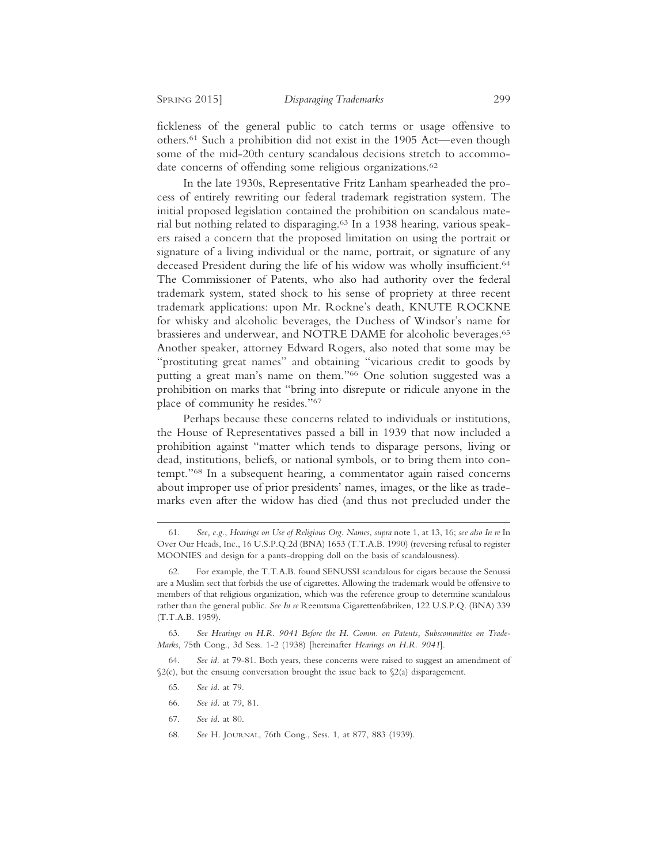fickleness of the general public to catch terms or usage offensive to others.61 Such a prohibition did not exist in the 1905 Act—even though some of the mid-20th century scandalous decisions stretch to accommodate concerns of offending some religious organizations.<sup>62</sup>

In the late 1930s, Representative Fritz Lanham spearheaded the process of entirely rewriting our federal trademark registration system. The initial proposed legislation contained the prohibition on scandalous material but nothing related to disparaging.63 In a 1938 hearing, various speakers raised a concern that the proposed limitation on using the portrait or signature of a living individual or the name, portrait, or signature of any deceased President during the life of his widow was wholly insufficient.<sup>64</sup> The Commissioner of Patents, who also had authority over the federal trademark system, stated shock to his sense of propriety at three recent trademark applications: upon Mr. Rockne's death, KNUTE ROCKNE for whisky and alcoholic beverages, the Duchess of Windsor's name for brassieres and underwear, and NOTRE DAME for alcoholic beverages.<sup>65</sup> Another speaker, attorney Edward Rogers, also noted that some may be "prostituting great names" and obtaining "vicarious credit to goods by putting a great man's name on them."66 One solution suggested was a prohibition on marks that "bring into disrepute or ridicule anyone in the place of community he resides."67

Perhaps because these concerns related to individuals or institutions, the House of Representatives passed a bill in 1939 that now included a prohibition against "matter which tends to disparage persons, living or dead, institutions, beliefs, or national symbols, or to bring them into contempt."68 In a subsequent hearing, a commentator again raised concerns about improper use of prior presidents' names, images, or the like as trademarks even after the widow has died (and thus not precluded under the

- 65. *See id.* at 79.
- 66. *See id.* at 79, 81.
- 67. *See id.* at 80.
- 68. *See* H. JOURNAL, 76th Cong., Sess. 1, at 877, 883 (1939).

<sup>61.</sup> *See, e.g.*, *Hearings on Use of Religious Org. Names*, *supra* note 1, at 13, 16; *see also In re* In Over Our Heads, Inc., 16 U.S.P.Q.2d (BNA) 1653 (T.T.A.B. 1990) (reversing refusal to register MOONIES and design for a pants-dropping doll on the basis of scandalousness).

<sup>62.</sup> For example, the T.T.A.B. found SENUSSI scandalous for cigars because the Senussi are a Muslim sect that forbids the use of cigarettes. Allowing the trademark would be offensive to members of that religious organization, which was the reference group to determine scandalous rather than the general public. *See In re* Reemtsma Cigarettenfabriken, 122 U.S.P.Q. (BNA) 339 (T.T.A.B. 1959).

<sup>63.</sup> *See Hearings on H.R. 9041 Before the H. Comm. on Patents, Subscommittee on Trade-Marks*, 75th Cong., 3d Sess. 1-2 (1938) [hereinafter *Hearings on H.R. 9041*].

<sup>64.</sup> *See id.* at 79-81. Both years, these concerns were raised to suggest an amendment of  $\S2(c)$ , but the ensuing conversation brought the issue back to  $\S2(a)$  disparagement.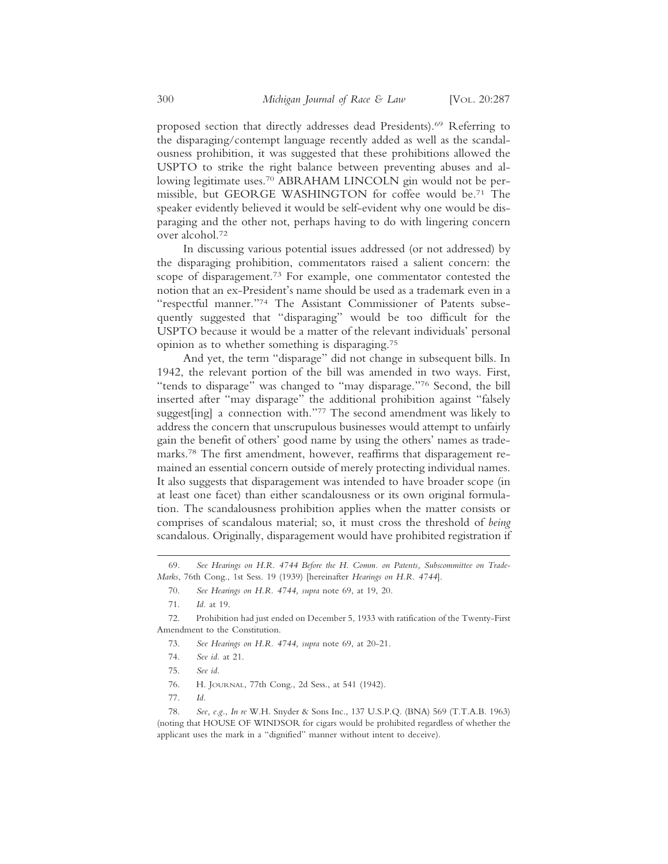proposed section that directly addresses dead Presidents).69 Referring to the disparaging/contempt language recently added as well as the scandalousness prohibition, it was suggested that these prohibitions allowed the USPTO to strike the right balance between preventing abuses and allowing legitimate uses.<sup>70</sup> ABRAHAM LINCOLN gin would not be permissible, but GEORGE WASHINGTON for coffee would be.71 The speaker evidently believed it would be self-evident why one would be disparaging and the other not, perhaps having to do with lingering concern over alcohol.72

In discussing various potential issues addressed (or not addressed) by the disparaging prohibition, commentators raised a salient concern: the scope of disparagement.73 For example, one commentator contested the notion that an ex-President's name should be used as a trademark even in a "respectful manner."74 The Assistant Commissioner of Patents subsequently suggested that "disparaging" would be too difficult for the USPTO because it would be a matter of the relevant individuals' personal opinion as to whether something is disparaging.75

And yet, the term "disparage" did not change in subsequent bills. In 1942, the relevant portion of the bill was amended in two ways. First, "tends to disparage" was changed to "may disparage."76 Second, the bill inserted after "may disparage" the additional prohibition against "falsely suggest[ing] a connection with."<sup>77</sup> The second amendment was likely to address the concern that unscrupulous businesses would attempt to unfairly gain the benefit of others' good name by using the others' names as trademarks.78 The first amendment, however, reaffirms that disparagement remained an essential concern outside of merely protecting individual names. It also suggests that disparagement was intended to have broader scope (in at least one facet) than either scandalousness or its own original formulation. The scandalousness prohibition applies when the matter consists or comprises of scandalous material; so, it must cross the threshold of *being* scandalous. Originally, disparagement would have prohibited registration if

- 76. H. JOURNAL, 77th Cong., 2d Sess., at 541 (1942).
- 77. *Id.*

<sup>69.</sup> *See Hearings on H.R. 4744 Before the H. Comm. on Patents, Subscommittee on Trade-Marks*, 76th Cong., 1st Sess. 19 (1939) [hereinafter *Hearings on H.R. 4744*].

<sup>70.</sup> *See Hearings on H.R. 4744, supra* note 69, at 19, 20.

<sup>71.</sup> *Id.* at 19.

<sup>72.</sup> Prohibition had just ended on December 5, 1933 with ratification of the Twenty-First Amendment to the Constitution.

<sup>73.</sup> *See Hearings on H.R. 4744, supra* note 69, at 20-21.

<sup>74.</sup> *See id.* at 21.

<sup>75.</sup> *See id*.

<sup>78.</sup> *See, e.g.*, *In re* W.H. Snyder & Sons Inc., 137 U.S.P.Q. (BNA) 569 (T.T.A.B. 1963) (noting that HOUSE OF WINDSOR for cigars would be prohibited regardless of whether the applicant uses the mark in a "dignified" manner without intent to deceive).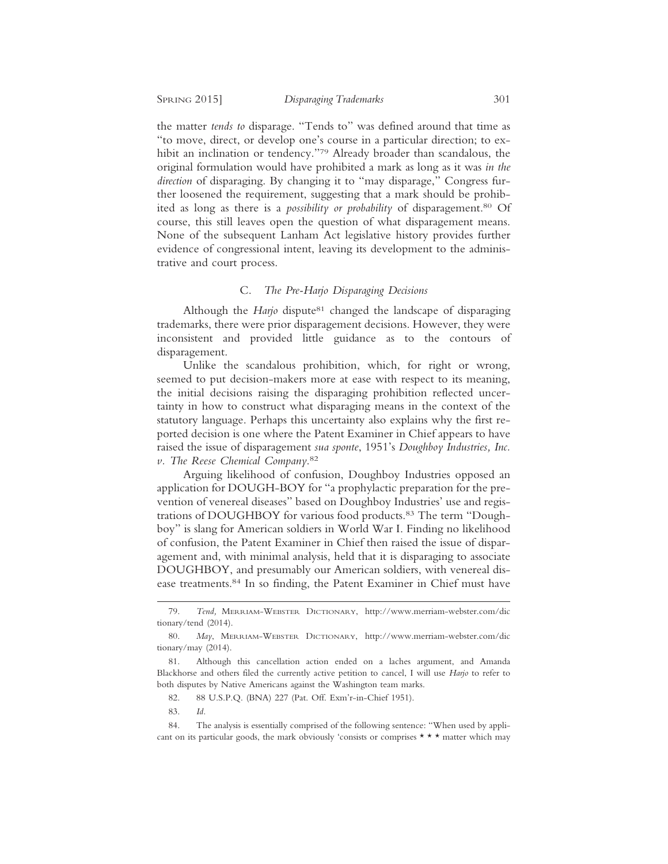the matter *tends to* disparage. "Tends to" was defined around that time as "to move, direct, or develop one's course in a particular direction; to exhibit an inclination or tendency."79 Already broader than scandalous, the original formulation would have prohibited a mark as long as it was *in the direction* of disparaging. By changing it to "may disparage," Congress further loosened the requirement, suggesting that a mark should be prohibited as long as there is a *possibility or probability* of disparagement.80 Of course, this still leaves open the question of what disparagement means. None of the subsequent Lanham Act legislative history provides further evidence of congressional intent, leaving its development to the administrative and court process.

#### C. *The Pre-Harjo Disparaging Decisions*

Although the *Harjo* dispute<sup>81</sup> changed the landscape of disparaging trademarks, there were prior disparagement decisions. However, they were inconsistent and provided little guidance as to the contours of disparagement.

Unlike the scandalous prohibition, which, for right or wrong, seemed to put decision-makers more at ease with respect to its meaning, the initial decisions raising the disparaging prohibition reflected uncertainty in how to construct what disparaging means in the context of the statutory language. Perhaps this uncertainty also explains why the first reported decision is one where the Patent Examiner in Chief appears to have raised the issue of disparagement *sua sponte*, 1951's *Doughboy Industries, Inc. v. The Reese Chemical Company*. 82

Arguing likelihood of confusion, Doughboy Industries opposed an application for DOUGH-BOY for "a prophylactic preparation for the prevention of venereal diseases" based on Doughboy Industries' use and registrations of DOUGHBOY for various food products.83 The term "Doughboy" is slang for American soldiers in World War I. Finding no likelihood of confusion, the Patent Examiner in Chief then raised the issue of disparagement and, with minimal analysis, held that it is disparaging to associate DOUGHBOY, and presumably our American soldiers, with venereal disease treatments.84 In so finding, the Patent Examiner in Chief must have

<sup>79.</sup> *Tend,* MERRIAM-WEBSTER DICTIONARY, http://www.merriam-webster.com/dic tionary/tend (2014).

<sup>80.</sup> *May*, MERRIAM-WEBSTER DICTIONARY, http://www.merriam-webster.com/dic tionary/may (2014).

<sup>81.</sup> Although this cancellation action ended on a laches argument, and Amanda Blackhorse and others filed the currently active petition to cancel, I will use *Harjo* to refer to both disputes by Native Americans against the Washington team marks.

<sup>82. 88</sup> U.S.P.Q. (BNA) 227 (Pat. Off. Exm'r-in-Chief 1951).

<sup>83.</sup> *Id.*

<sup>84.</sup> The analysis is essentially comprised of the following sentence: "When used by applicant on its particular goods, the mark obviously 'consists or comprises \* \* \* matter which may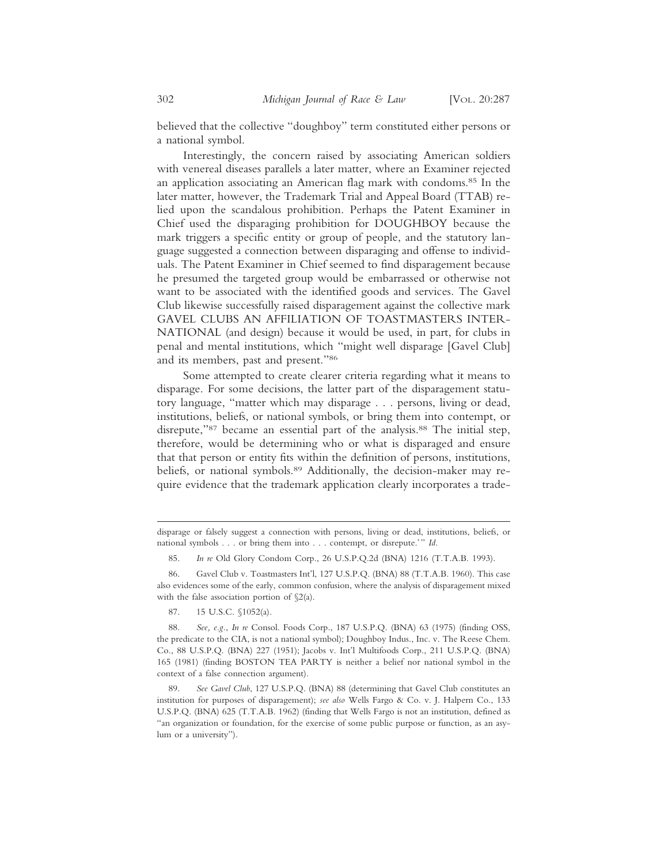believed that the collective "doughboy" term constituted either persons or a national symbol.

Interestingly, the concern raised by associating American soldiers with venereal diseases parallels a later matter, where an Examiner rejected an application associating an American flag mark with condoms.85 In the later matter, however, the Trademark Trial and Appeal Board (TTAB) relied upon the scandalous prohibition. Perhaps the Patent Examiner in Chief used the disparaging prohibition for DOUGHBOY because the mark triggers a specific entity or group of people, and the statutory language suggested a connection between disparaging and offense to individuals. The Patent Examiner in Chief seemed to find disparagement because he presumed the targeted group would be embarrassed or otherwise not want to be associated with the identified goods and services. The Gavel Club likewise successfully raised disparagement against the collective mark GAVEL CLUBS AN AFFILIATION OF TOASTMASTERS INTER-NATIONAL (and design) because it would be used, in part, for clubs in penal and mental institutions, which "might well disparage [Gavel Club] and its members, past and present."86

Some attempted to create clearer criteria regarding what it means to disparage. For some decisions, the latter part of the disparagement statutory language, "matter which may disparage . . . persons, living or dead, institutions, beliefs, or national symbols, or bring them into contempt, or disrepute,"87 became an essential part of the analysis.<sup>88</sup> The initial step, therefore, would be determining who or what is disparaged and ensure that that person or entity fits within the definition of persons, institutions, beliefs, or national symbols.<sup>89</sup> Additionally, the decision-maker may require evidence that the trademark application clearly incorporates a trade-

85. *In re* Old Glory Condom Corp., 26 U.S.P.Q.2d (BNA) 1216 (T.T.A.B. 1993).

86. Gavel Club v. Toastmasters Int'l, 127 U.S.P.Q. (BNA) 88 (T.T.A.B. 1960). This case also evidences some of the early, common confusion, where the analysis of disparagement mixed with the false association portion of §2(a).

87. 15 U.S.C. §1052(a).

disparage or falsely suggest a connection with persons, living or dead, institutions, beliefs, or national symbols . . . or bring them into . . . contempt, or disrepute.'" *Id.*

<sup>88.</sup> *See, e.g.*, *In re* Consol. Foods Corp., 187 U.S.P.Q. (BNA) 63 (1975) (finding OSS, the predicate to the CIA, is not a national symbol); Doughboy Indus., Inc. v. The Reese Chem. Co., 88 U.S.P.Q. (BNA) 227 (1951); Jacobs v. Int'l Multifoods Corp., 211 U.S.P.Q. (BNA) 165 (1981) (finding BOSTON TEA PARTY is neither a belief nor national symbol in the context of a false connection argument).

<sup>89.</sup> *See Gavel Club*, 127 U.S.P.Q. (BNA) 88 (determining that Gavel Club constitutes an institution for purposes of disparagement); *see also* Wells Fargo & Co. v. J. Halpern Co., 133 U.S.P.Q. (BNA) 625 (T.T.A.B. 1962) (finding that Wells Fargo is not an institution, defined as "an organization or foundation, for the exercise of some public purpose or function, as an asylum or a university").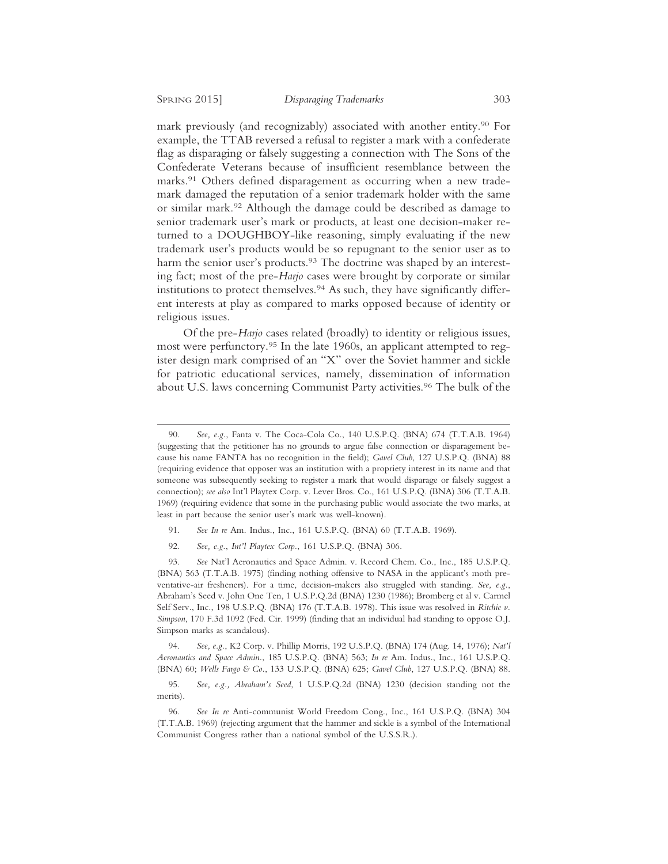mark previously (and recognizably) associated with another entity.90 For example, the TTAB reversed a refusal to register a mark with a confederate flag as disparaging or falsely suggesting a connection with The Sons of the Confederate Veterans because of insufficient resemblance between the marks.<sup>91</sup> Others defined disparagement as occurring when a new trademark damaged the reputation of a senior trademark holder with the same or similar mark.92 Although the damage could be described as damage to senior trademark user's mark or products, at least one decision-maker returned to a DOUGHBOY-like reasoning, simply evaluating if the new trademark user's products would be so repugnant to the senior user as to harm the senior user's products.<sup>93</sup> The doctrine was shaped by an interesting fact; most of the pre-*Harjo* cases were brought by corporate or similar institutions to protect themselves.94 As such, they have significantly different interests at play as compared to marks opposed because of identity or religious issues.

Of the pre-*Harjo* cases related (broadly) to identity or religious issues, most were perfunctory.<sup>95</sup> In the late 1960s, an applicant attempted to register design mark comprised of an "X" over the Soviet hammer and sickle for patriotic educational services, namely, dissemination of information about U.S. laws concerning Communist Party activities.96 The bulk of the

- 91. *See In re* Am. Indus., Inc., 161 U.S.P.Q. (BNA) 60 (T.T.A.B. 1969).
- 92. *See, e.g.*, *Int'l Playtex Corp.*, 161 U.S.P.Q. (BNA) 306.

93. *See* Nat'l Aeronautics and Space Admin. v. Record Chem. Co., Inc., 185 U.S.P.Q. (BNA) 563 (T.T.A.B. 1975) (finding nothing offensive to NASA in the applicant's moth preventative-air fresheners). For a time, decision-makers also struggled with standing. *See, e.g.*, Abraham's Seed v. John One Ten, 1 U.S.P.Q.2d (BNA) 1230 (1986); Bromberg et al v. Carmel Self Serv., Inc., 198 U.S.P.Q. (BNA) 176 (T.T.A.B. 1978). This issue was resolved in *Ritchie v. Simpson*, 170 F.3d 1092 (Fed. Cir. 1999) (finding that an individual had standing to oppose O.J. Simpson marks as scandalous).

94. *See, e.g.*, K2 Corp. v. Phillip Morris, 192 U.S.P.Q. (BNA) 174 (Aug. 14, 1976); *Nat'l Aeronautics and Space Admin.*, 185 U.S.P.Q. (BNA) 563; *In re* Am. Indus., Inc., 161 U.S.P.Q. (BNA) 60; *Wells Fargo & Co.*, 133 U.S.P.Q. (BNA) 625; *Gavel Club*, 127 U.S.P.Q. (BNA) 88.

95. *See, e.g., Abraham's Seed*, 1 U.S.P.Q.2d (BNA) 1230 (decision standing not the merits).

96. *See In re* Anti-communist World Freedom Cong., Inc., 161 U.S.P.Q. (BNA) 304 (T.T.A.B. 1969) (rejecting argument that the hammer and sickle is a symbol of the International Communist Congress rather than a national symbol of the U.S.S.R.).

<sup>90.</sup> *See, e.g.*, Fanta v. The Coca-Cola Co., 140 U.S.P.Q. (BNA) 674 (T.T.A.B. 1964) (suggesting that the petitioner has no grounds to argue false connection or disparagement because his name FANTA has no recognition in the field); *Gavel Club*, 127 U.S.P.Q. (BNA) 88 (requiring evidence that opposer was an institution with a propriety interest in its name and that someone was subsequently seeking to register a mark that would disparage or falsely suggest a connection); *see also* Int'l Playtex Corp. v. Lever Bros. Co., 161 U.S.P.Q. (BNA) 306 (T.T.A.B. 1969) (requiring evidence that some in the purchasing public would associate the two marks, at least in part because the senior user's mark was well-known).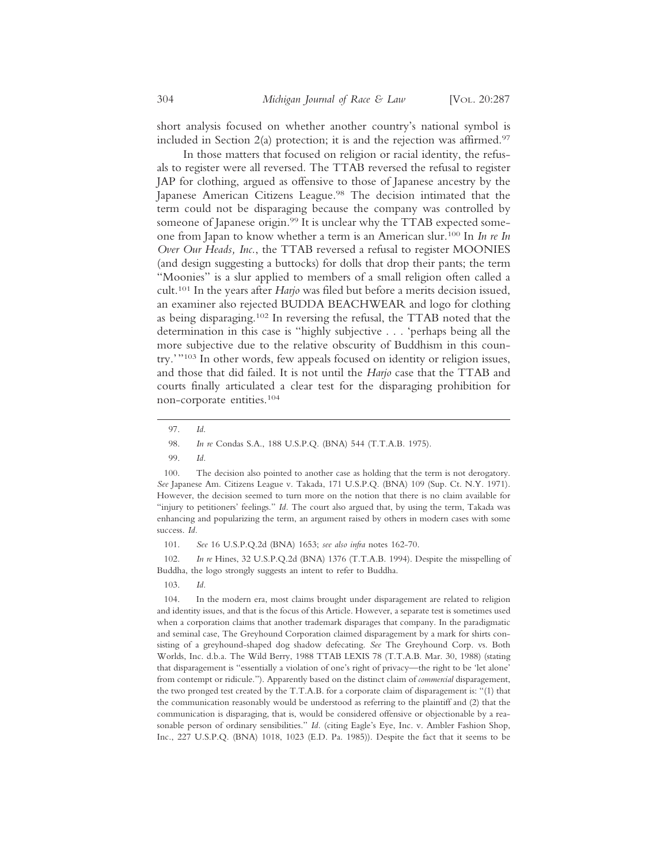short analysis focused on whether another country's national symbol is included in Section  $2(a)$  protection; it is and the rejection was affirmed.<sup>97</sup>

In those matters that focused on religion or racial identity, the refusals to register were all reversed. The TTAB reversed the refusal to register JAP for clothing, argued as offensive to those of Japanese ancestry by the Japanese American Citizens League.<sup>98</sup> The decision intimated that the term could not be disparaging because the company was controlled by someone of Japanese origin.<sup>99</sup> It is unclear why the TTAB expected someone from Japan to know whether a term is an American slur.100 In *In re In Over Our Heads, Inc.*, the TTAB reversed a refusal to register MOONIES (and design suggesting a buttocks) for dolls that drop their pants; the term "Moonies" is a slur applied to members of a small religion often called a cult.101 In the years after *Harjo* was filed but before a merits decision issued, an examiner also rejected BUDDA BEACHWEAR and logo for clothing as being disparaging.102 In reversing the refusal, the TTAB noted that the determination in this case is "highly subjective . . . 'perhaps being all the more subjective due to the relative obscurity of Buddhism in this country.'"103 In other words, few appeals focused on identity or religion issues, and those that did failed. It is not until the *Harjo* case that the TTAB and courts finally articulated a clear test for the disparaging prohibition for non-corporate entities.104

99. *Id.*

100. The decision also pointed to another case as holding that the term is not derogatory. *See* Japanese Am. Citizens League v. Takada, 171 U.S.P.Q. (BNA) 109 (Sup. Ct. N.Y. 1971). However, the decision seemed to turn more on the notion that there is no claim available for "injury to petitioners' feelings." *Id.* The court also argued that, by using the term, Takada was enhancing and popularizing the term, an argument raised by others in modern cases with some success. *Id.*

101. *See* 16 U.S.P.Q.2d (BNA) 1653; *see also infra* notes 162-70.

102. *In re* Hines, 32 U.S.P.Q.2d (BNA) 1376 (T.T.A.B. 1994). Despite the misspelling of Buddha, the logo strongly suggests an intent to refer to Buddha.

103. *Id.*

104. In the modern era, most claims brought under disparagement are related to religion and identity issues, and that is the focus of this Article. However, a separate test is sometimes used when a corporation claims that another trademark disparages that company. In the paradigmatic and seminal case, The Greyhound Corporation claimed disparagement by a mark for shirts consisting of a greyhound-shaped dog shadow defecating. *See* The Greyhound Corp. vs. Both Worlds, Inc. d.b.a. The Wild Berry, 1988 TTAB LEXIS 78 (T.T.A.B. Mar. 30, 1988) (stating that disparagement is "essentially a violation of one's right of privacy—the right to be 'let alone' from contempt or ridicule."). Apparently based on the distinct claim of *commercial* disparagement, the two pronged test created by the T.T.A.B. for a corporate claim of disparagement is: "(1) that the communication reasonably would be understood as referring to the plaintiff and (2) that the communication is disparaging, that is, would be considered offensive or objectionable by a reasonable person of ordinary sensibilities." *Id.* (citing Eagle's Eye, Inc. v. Ambler Fashion Shop, Inc., 227 U.S.P.Q. (BNA) 1018, 1023 (E.D. Pa. 1985)). Despite the fact that it seems to be

<sup>97.</sup> *Id*.

<sup>98.</sup> *In re* Condas S.A., 188 U.S.P.Q. (BNA) 544 (T.T.A.B. 1975).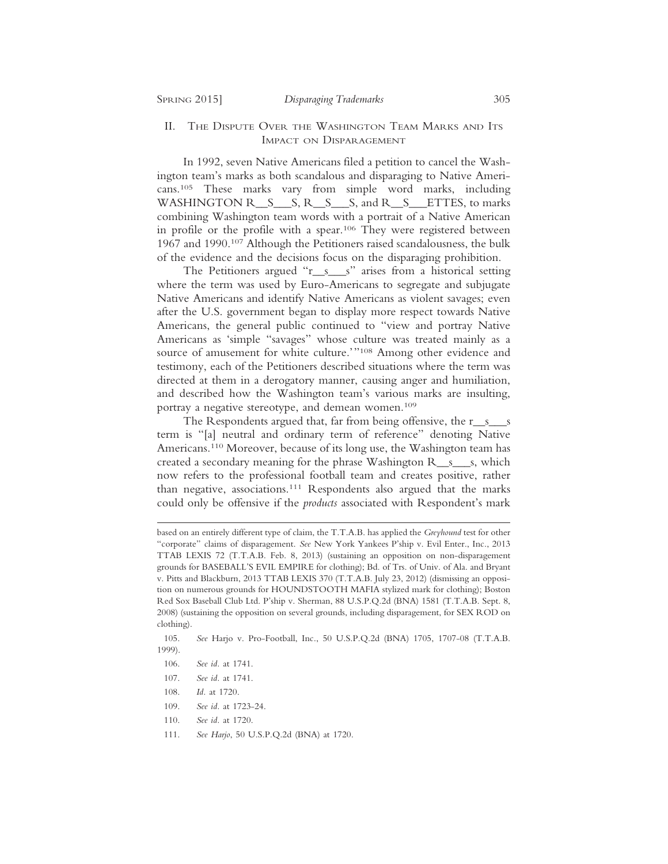### II. THE DISPUTE OVER THE WASHINGTON TEAM MARKS AND ITS IMPACT ON DISPARAGEMENT

In 1992, seven Native Americans filed a petition to cancel the Washington team's marks as both scandalous and disparaging to Native Americans.105 These marks vary from simple word marks, including WASHINGTON R<sub>\_\_S</sub>\_\_\_S, R\_\_S\_\_\_S, and R\_\_S\_\_ETTES, to marks combining Washington team words with a portrait of a Native American in profile or the profile with a spear.<sup>106</sup> They were registered between 1967 and 1990.107 Although the Petitioners raised scandalousness, the bulk of the evidence and the decisions focus on the disparaging prohibition.

The Petitioners argued "r\_s\_\_s" arises from a historical setting where the term was used by Euro-Americans to segregate and subjugate Native Americans and identify Native Americans as violent savages; even after the U.S. government began to display more respect towards Native Americans, the general public continued to "view and portray Native Americans as 'simple "savages" whose culture was treated mainly as a source of amusement for white culture.'"108 Among other evidence and testimony, each of the Petitioners described situations where the term was directed at them in a derogatory manner, causing anger and humiliation, and described how the Washington team's various marks are insulting, portray a negative stereotype, and demean women.109

The Respondents argued that, far from being offensive, the  $r_s$  is term is "[a] neutral and ordinary term of reference" denoting Native Americans.110 Moreover, because of its long use, the Washington team has created a secondary meaning for the phrase Washington R\_\_s\_\_\_s, which now refers to the professional football team and creates positive, rather than negative, associations.111 Respondents also argued that the marks could only be offensive if the *products* associated with Respondent's mark

- 110. *See id.* at 1720.
- 111. *See Harjo*, 50 U.S.P.Q.2d (BNA) at 1720.

based on an entirely different type of claim, the T.T.A.B. has applied the *Greyhound* test for other "corporate" claims of disparagement. *See* New York Yankees P'ship v. Evil Enter., Inc., 2013 TTAB LEXIS 72 (T.T.A.B. Feb. 8, 2013) (sustaining an opposition on non-disparagement grounds for BASEBALL'S EVIL EMPIRE for clothing); Bd. of Trs. of Univ. of Ala. and Bryant v. Pitts and Blackburn, 2013 TTAB LEXIS 370 (T.T.A.B. July 23, 2012) (dismissing an opposition on numerous grounds for HOUNDSTOOTH MAFIA stylized mark for clothing); Boston Red Sox Baseball Club Ltd. P'ship v. Sherman, 88 U.S.P.Q.2d (BNA) 1581 (T.T.A.B. Sept. 8, 2008) (sustaining the opposition on several grounds, including disparagement, for SEX ROD on clothing).

<sup>105.</sup> *See* Harjo v. Pro-Football, Inc., 50 U.S.P.Q.2d (BNA) 1705, 1707-08 (T.T.A.B. 1999).

<sup>106.</sup> *See id.* at 1741.

<sup>107.</sup> *See id.* at 1741.

<sup>108.</sup> *Id.* at 1720.

<sup>109.</sup> *See id.* at 1723-24.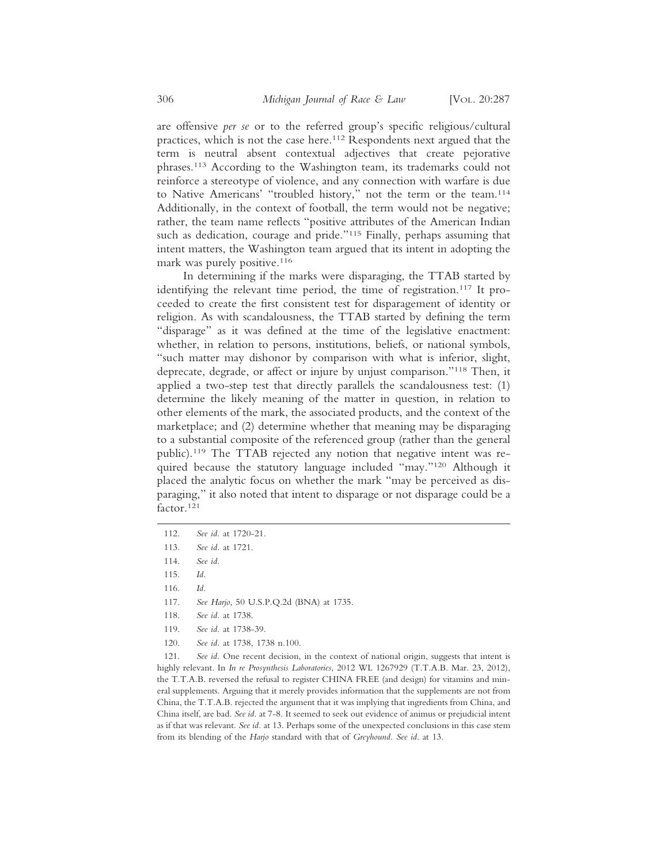are offensive *per se* or to the referred group's specific religious/cultural practices, which is not the case here.112 Respondents next argued that the term is neutral absent contextual adjectives that create pejorative phrases.113 According to the Washington team, its trademarks could not reinforce a stereotype of violence, and any connection with warfare is due to Native Americans' "troubled history," not the term or the team.114 Additionally, in the context of football, the term would not be negative; rather, the team name reflects "positive attributes of the American Indian such as dedication, courage and pride."<sup>115</sup> Finally, perhaps assuming that intent matters, the Washington team argued that its intent in adopting the mark was purely positive.116

In determining if the marks were disparaging, the TTAB started by identifying the relevant time period, the time of registration.117 It proceeded to create the first consistent test for disparagement of identity or religion. As with scandalousness, the TTAB started by defining the term "disparage" as it was defined at the time of the legislative enactment: whether, in relation to persons, institutions, beliefs, or national symbols, "such matter may dishonor by comparison with what is inferior, slight, deprecate, degrade, or affect or injure by unjust comparison."118 Then, it applied a two-step test that directly parallels the scandalousness test: (1) determine the likely meaning of the matter in question, in relation to other elements of the mark, the associated products, and the context of the marketplace; and (2) determine whether that meaning may be disparaging to a substantial composite of the referenced group (rather than the general public).119 The TTAB rejected any notion that negative intent was required because the statutory language included "may."120 Although it placed the analytic focus on whether the mark "may be perceived as disparaging," it also noted that intent to disparage or not disparage could be a factor.121

116. *Id.*

- 118. *See id.* at 1738.
- 119. *See id.* at 1738-39.
- 120. *See id.* at 1738, 1738 n.100.

121. *See id.* One recent decision, in the context of national origin, suggests that intent is highly relevant. In *In re Prosynthesis Laboratories*, 2012 WL 1267929 (T.T.A.B. Mar. 23, 2012), the T.T.A.B. reversed the refusal to register CHINA FREE (and design) for vitamins and mineral supplements. Arguing that it merely provides information that the supplements are not from China, the T.T.A.B. rejected the argument that it was implying that ingredients from China, and China itself, are bad. *See id.* at 7-8. It seemed to seek out evidence of animus or prejudicial intent as if that was relevant. *See id.* at 13. Perhaps some of the unexpected conclusions in this case stem from its blending of the *Harjo* standard with that of *Greyhound*. *See id*. at 13.

<sup>112.</sup> *See id.* at 1720-21.

<sup>113.</sup> *See id.* at 1721.

<sup>114.</sup> *See id.*

<sup>115.</sup> *Id.*

<sup>117.</sup> *See Harjo*, 50 U.S.P.Q.2d (BNA) at 1735.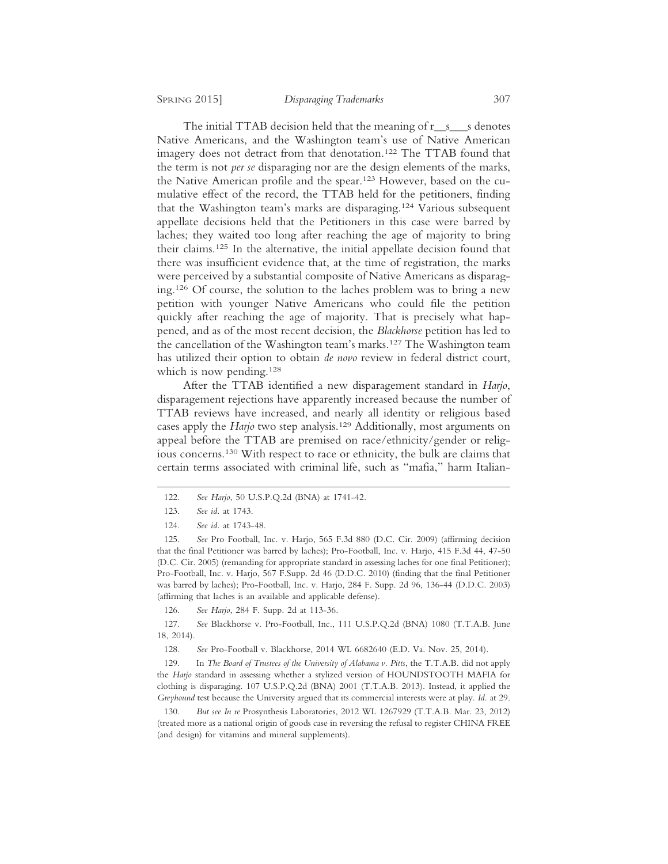The initial TTAB decision held that the meaning of r\_s\_\_s denotes Native Americans, and the Washington team's use of Native American imagery does not detract from that denotation.122 The TTAB found that the term is not *per se* disparaging nor are the design elements of the marks, the Native American profile and the spear.123 However, based on the cumulative effect of the record, the TTAB held for the petitioners, finding that the Washington team's marks are disparaging.124 Various subsequent appellate decisions held that the Petitioners in this case were barred by laches; they waited too long after reaching the age of majority to bring their claims.125 In the alternative, the initial appellate decision found that there was insufficient evidence that, at the time of registration, the marks were perceived by a substantial composite of Native Americans as disparaging.126 Of course, the solution to the laches problem was to bring a new petition with younger Native Americans who could file the petition quickly after reaching the age of majority. That is precisely what happened, and as of the most recent decision, the *Blackhorse* petition has led to the cancellation of the Washington team's marks.127 The Washington team has utilized their option to obtain *de novo* review in federal district court, which is now pending.<sup>128</sup>

After the TTAB identified a new disparagement standard in *Harjo*, disparagement rejections have apparently increased because the number of TTAB reviews have increased, and nearly all identity or religious based cases apply the *Harjo* two step analysis.129 Additionally, most arguments on appeal before the TTAB are premised on race/ethnicity/gender or religious concerns.130 With respect to race or ethnicity, the bulk are claims that certain terms associated with criminal life, such as "mafia," harm Italian-

126. *See Harjo*, 284 F. Supp. 2d at 113-36.

127. *See* Blackhorse v. Pro-Football, Inc., 111 U.S.P.Q.2d (BNA) 1080 (T.T.A.B. June 18, 2014).

128. *See* Pro-Football v. Blackhorse, 2014 WL 6682640 (E.D. Va. Nov. 25, 2014).

129. In *The Board of Trustees of the University of Alabama v. Pitts*, the T.T.A.B. did not apply the *Harjo* standard in assessing whether a stylized version of HOUNDSTOOTH MAFIA for clothing is disparaging. 107 U.S.P.Q.2d (BNA) 2001 (T.T.A.B. 2013). Instead, it applied the *Greyhound* test because the University argued that its commercial interests were at play. *Id.* at 29.

130. *But see In re* Prosynthesis Laboratories, 2012 WL 1267929 (T.T.A.B. Mar. 23, 2012) (treated more as a national origin of goods case in reversing the refusal to register CHINA FREE (and design) for vitamins and mineral supplements).

<sup>122.</sup> *See Harjo*, 50 U.S.P.Q.2d (BNA) at 1741-42.

<sup>123.</sup> *See id.* at 1743.

<sup>124.</sup> *See id.* at 1743-48.

<sup>125.</sup> *See* Pro Football, Inc. v. Harjo, 565 F.3d 880 (D.C. Cir. 2009) (affirming decision that the final Petitioner was barred by laches); Pro-Football, Inc. v. Harjo, 415 F.3d 44, 47-50 (D.C. Cir. 2005) (remanding for appropriate standard in assessing laches for one final Petitioner); Pro-Football, Inc. v. Harjo, 567 F.Supp. 2d 46 (D.D.C. 2010) (finding that the final Petitioner was barred by laches); Pro-Football, Inc. v. Harjo, 284 F. Supp. 2d 96, 136-44 (D.D.C. 2003) (affirming that laches is an available and applicable defense).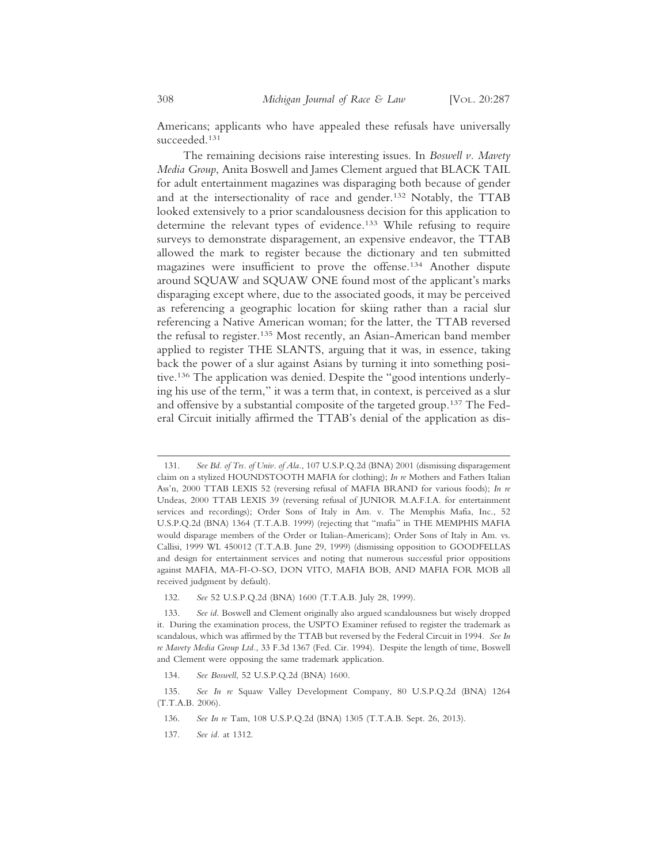Americans; applicants who have appealed these refusals have universally succeeded.131

The remaining decisions raise interesting issues. In *Boswell v. Mavety Media Group*, Anita Boswell and James Clement argued that BLACK TAIL for adult entertainment magazines was disparaging both because of gender and at the intersectionality of race and gender.132 Notably, the TTAB looked extensively to a prior scandalousness decision for this application to determine the relevant types of evidence.133 While refusing to require surveys to demonstrate disparagement, an expensive endeavor, the TTAB allowed the mark to register because the dictionary and ten submitted magazines were insufficient to prove the offense.134 Another dispute around SQUAW and SQUAW ONE found most of the applicant's marks disparaging except where, due to the associated goods, it may be perceived as referencing a geographic location for skiing rather than a racial slur referencing a Native American woman; for the latter, the TTAB reversed the refusal to register.135 Most recently, an Asian-American band member applied to register THE SLANTS, arguing that it was, in essence, taking back the power of a slur against Asians by turning it into something positive.136 The application was denied. Despite the "good intentions underlying his use of the term," it was a term that, in context, is perceived as a slur and offensive by a substantial composite of the targeted group.137 The Federal Circuit initially affirmed the TTAB's denial of the application as dis-

132. *See* 52 U.S.P.Q.2d (BNA) 1600 (T.T.A.B. July 28, 1999).

134. *See Boswell*, 52 U.S.P.Q.2d (BNA) 1600.

137. *See id.* at 1312.

<sup>131.</sup> *See Bd. of Trs. of Univ. of Ala.*, 107 U.S.P.Q.2d (BNA) 2001 (dismissing disparagement claim on a stylized HOUNDSTOOTH MAFIA for clothing); *In re* Mothers and Fathers Italian Ass'n, 2000 TTAB LEXIS 52 (reversing refusal of MAFIA BRAND for various foods); *In re* Undeas, 2000 TTAB LEXIS 39 (reversing refusal of JUNIOR M.A.F.I.A. for entertainment services and recordings); Order Sons of Italy in Am. v. The Memphis Mafia, Inc., 52 U.S.P.Q.2d (BNA) 1364 (T.T.A.B. 1999) (rejecting that "mafia" in THE MEMPHIS MAFIA would disparage members of the Order or Italian-Americans); Order Sons of Italy in Am. vs. Callisi, 1999 WL 450012 (T.T.A.B. June 29, 1999) (dismissing opposition to GOODFELLAS and design for entertainment services and noting that numerous successful prior oppositions against MAFIA, MA-FI-O-SO, DON VITO, MAFIA BOB, AND MAFIA FOR MOB all received judgment by default).

<sup>133.</sup> *See id.* Boswell and Clement originally also argued scandalousness but wisely dropped it. During the examination process, the USPTO Examiner refused to register the trademark as scandalous, which was affirmed by the TTAB but reversed by the Federal Circuit in 1994. *See In re Mavety Media Group Ltd.*, 33 F.3d 1367 (Fed. Cir. 1994). Despite the length of time, Boswell and Clement were opposing the same trademark application.

<sup>135.</sup> *See In re* Squaw Valley Development Company, 80 U.S.P.Q.2d (BNA) 1264 (T.T.A.B. 2006).

<sup>136.</sup> *See In re* Tam, 108 U.S.P.Q.2d (BNA) 1305 (T.T.A.B. Sept. 26, 2013).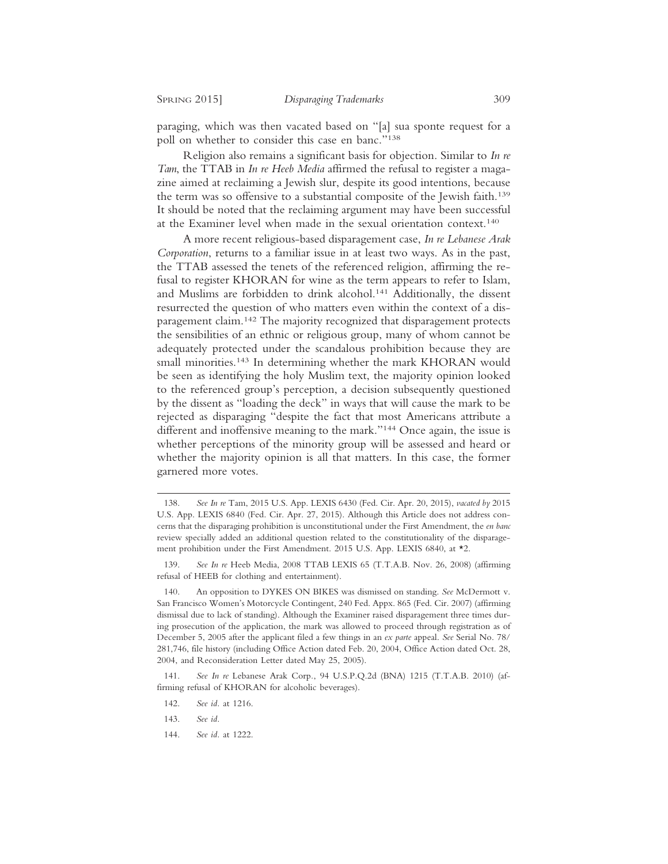paraging, which was then vacated based on "[a] sua sponte request for a poll on whether to consider this case en banc."138

Religion also remains a significant basis for objection. Similar to *In re Tam*, the TTAB in *In re Heeb Media* affirmed the refusal to register a magazine aimed at reclaiming a Jewish slur, despite its good intentions, because the term was so offensive to a substantial composite of the Jewish faith.<sup>139</sup> It should be noted that the reclaiming argument may have been successful at the Examiner level when made in the sexual orientation context.140

A more recent religious-based disparagement case, *In re Lebanese Arak Corporation*, returns to a familiar issue in at least two ways. As in the past, the TTAB assessed the tenets of the referenced religion, affirming the refusal to register KHORAN for wine as the term appears to refer to Islam, and Muslims are forbidden to drink alcohol.141 Additionally, the dissent resurrected the question of who matters even within the context of a disparagement claim.142 The majority recognized that disparagement protects the sensibilities of an ethnic or religious group, many of whom cannot be adequately protected under the scandalous prohibition because they are small minorities.<sup>143</sup> In determining whether the mark KHORAN would be seen as identifying the holy Muslim text, the majority opinion looked to the referenced group's perception, a decision subsequently questioned by the dissent as "loading the deck" in ways that will cause the mark to be rejected as disparaging "despite the fact that most Americans attribute a different and inoffensive meaning to the mark."144 Once again, the issue is whether perceptions of the minority group will be assessed and heard or whether the majority opinion is all that matters. In this case, the former garnered more votes.

<sup>138.</sup> *See In re* Tam, 2015 U.S. App. LEXIS 6430 (Fed. Cir. Apr. 20, 2015), *vacated by* 2015 U.S. App. LEXIS 6840 (Fed. Cir. Apr. 27, 2015). Although this Article does not address concerns that the disparaging prohibition is unconstitutional under the First Amendment, the *en banc* review specially added an additional question related to the constitutionality of the disparagement prohibition under the First Amendment. 2015 U.S. App. LEXIS 6840, at \*2.

<sup>139.</sup> *See In re* Heeb Media, 2008 TTAB LEXIS 65 (T.T.A.B. Nov. 26, 2008) (affirming refusal of HEEB for clothing and entertainment).

<sup>140.</sup> An opposition to DYKES ON BIKES was dismissed on standing. *See* McDermott v. San Francisco Women's Motorcycle Contingent, 240 Fed. Appx. 865 (Fed. Cir. 2007) (affirming dismissal due to lack of standing). Although the Examiner raised disparagement three times during prosecution of the application, the mark was allowed to proceed through registration as of December 5, 2005 after the applicant filed a few things in an *ex parte* appeal. *See* Serial No. 78/ 281,746, file history (including Office Action dated Feb. 20, 2004, Office Action dated Oct. 28, 2004, and Reconsideration Letter dated May 25, 2005).

<sup>141.</sup> *See In re* Lebanese Arak Corp*.*, 94 U.S.P.Q.2d (BNA) 1215 (T.T.A.B. 2010) (affirming refusal of KHORAN for alcoholic beverages).

<sup>142.</sup> *See id.* at 1216.

<sup>143.</sup> *See id.*

<sup>144.</sup> *See id.* at 1222.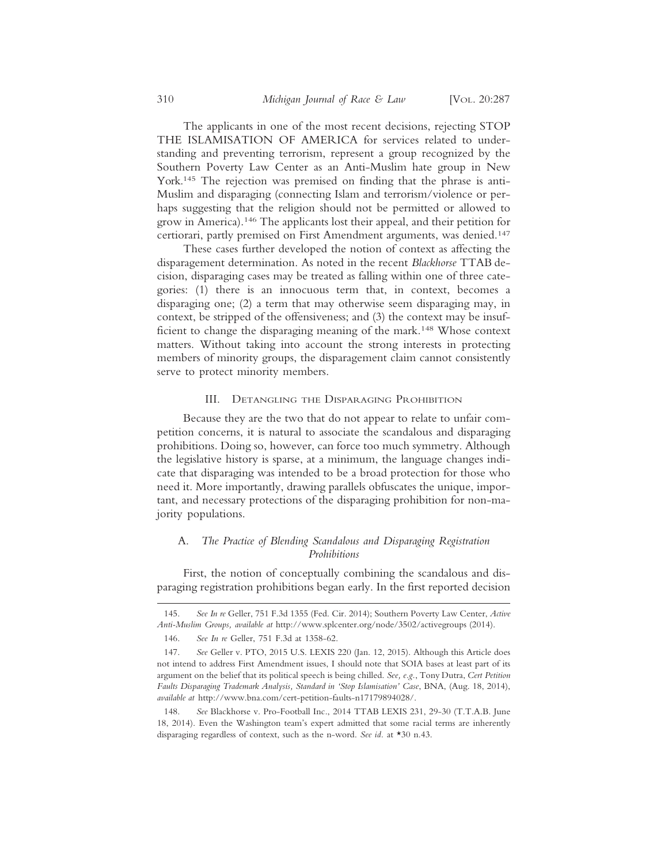The applicants in one of the most recent decisions, rejecting STOP THE ISLAMISATION OF AMERICA for services related to understanding and preventing terrorism, represent a group recognized by the Southern Poverty Law Center as an Anti-Muslim hate group in New York.145 The rejection was premised on finding that the phrase is anti-Muslim and disparaging (connecting Islam and terrorism/violence or perhaps suggesting that the religion should not be permitted or allowed to grow in America).146 The applicants lost their appeal, and their petition for certiorari, partly premised on First Amendment arguments, was denied.147

These cases further developed the notion of context as affecting the disparagement determination. As noted in the recent *Blackhorse* TTAB decision, disparaging cases may be treated as falling within one of three categories: (1) there is an innocuous term that, in context, becomes a disparaging one; (2) a term that may otherwise seem disparaging may, in context, be stripped of the offensiveness; and (3) the context may be insufficient to change the disparaging meaning of the mark.148 Whose context matters. Without taking into account the strong interests in protecting members of minority groups, the disparagement claim cannot consistently serve to protect minority members.

#### III. DETANGLING THE DISPARAGING PROHIBITION

Because they are the two that do not appear to relate to unfair competition concerns, it is natural to associate the scandalous and disparaging prohibitions. Doing so, however, can force too much symmetry. Although the legislative history is sparse, at a minimum, the language changes indicate that disparaging was intended to be a broad protection for those who need it. More importantly, drawing parallels obfuscates the unique, important, and necessary protections of the disparaging prohibition for non-majority populations.

## A. *The Practice of Blending Scandalous and Disparaging Registration Prohibitions*

First, the notion of conceptually combining the scandalous and disparaging registration prohibitions began early. In the first reported decision

<sup>145.</sup> *See In re* Geller, 751 F.3d 1355 (Fed. Cir. 2014); Southern Poverty Law Center, *Active Anti-Muslim Groups, available at* http://www.splcenter.org/node/3502/activegroups (2014).

<sup>146.</sup> *See In re* Geller, 751 F.3d at 1358-62.

<sup>147.</sup> *See* Geller v. PTO, 2015 U.S. LEXIS 220 (Jan. 12, 2015). Although this Article does not intend to address First Amendment issues, I should note that SOIA bases at least part of its argument on the belief that its political speech is being chilled. *See, e.g.*, Tony Dutra, *Cert Petition Faults Disparaging Trademark Analysis, Standard in 'Stop Islamisation' Case*, BNA, (Aug. 18, 2014), *available at* http://www.bna.com/cert-petition-faults-n17179894028/.

<sup>148.</sup> *See* Blackhorse v. Pro-Football Inc., 2014 TTAB LEXIS 231, 29-30 (T.T.A.B. June 18, 2014). Even the Washington team's expert admitted that some racial terms are inherently disparaging regardless of context, such as the n-word. *See id.* at \*30 n.43.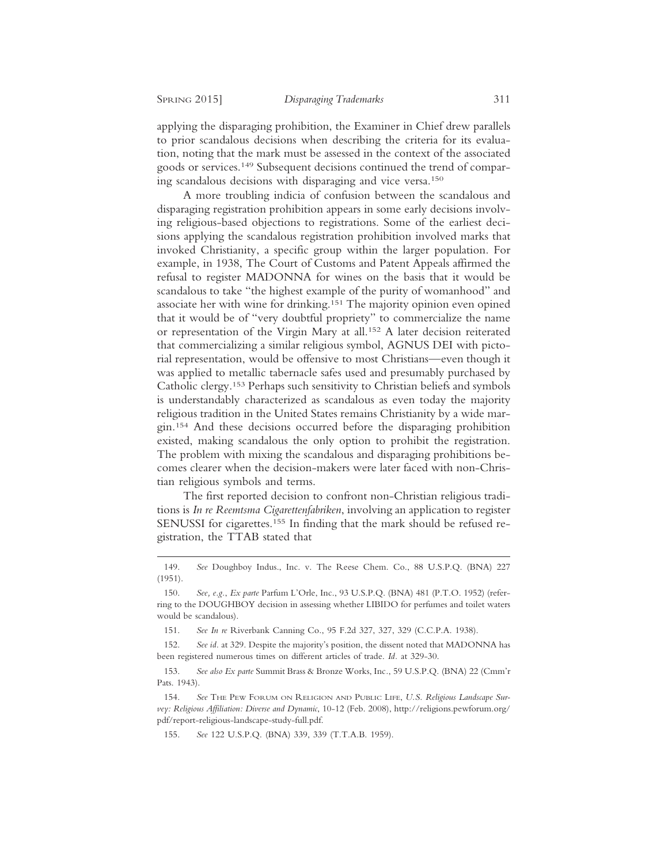applying the disparaging prohibition, the Examiner in Chief drew parallels to prior scandalous decisions when describing the criteria for its evaluation, noting that the mark must be assessed in the context of the associated goods or services.149 Subsequent decisions continued the trend of comparing scandalous decisions with disparaging and vice versa.150

A more troubling indicia of confusion between the scandalous and disparaging registration prohibition appears in some early decisions involving religious-based objections to registrations. Some of the earliest decisions applying the scandalous registration prohibition involved marks that invoked Christianity, a specific group within the larger population. For example, in 1938, The Court of Customs and Patent Appeals affirmed the refusal to register MADONNA for wines on the basis that it would be scandalous to take "the highest example of the purity of womanhood" and associate her with wine for drinking.<sup>151</sup> The majority opinion even opined that it would be of "very doubtful propriety" to commercialize the name or representation of the Virgin Mary at all.152 A later decision reiterated that commercializing a similar religious symbol, AGNUS DEI with pictorial representation, would be offensive to most Christians—even though it was applied to metallic tabernacle safes used and presumably purchased by Catholic clergy.153 Perhaps such sensitivity to Christian beliefs and symbols is understandably characterized as scandalous as even today the majority religious tradition in the United States remains Christianity by a wide margin.154 And these decisions occurred before the disparaging prohibition existed, making scandalous the only option to prohibit the registration. The problem with mixing the scandalous and disparaging prohibitions becomes clearer when the decision-makers were later faced with non-Christian religious symbols and terms.

The first reported decision to confront non-Christian religious traditions is *In re Reemtsma Cigarettenfabriken*, involving an application to register SENUSSI for cigarettes.<sup>155</sup> In finding that the mark should be refused registration, the TTAB stated that

<sup>149.</sup> *See* Doughboy Indus., Inc. v. The Reese Chem. Co., 88 U.S.P.Q. (BNA) 227 (1951).

<sup>150.</sup> *See, e.g.*, *Ex parte* Parfum L'Orle, Inc., 93 U.S.P.Q. (BNA) 481 (P.T.O. 1952) (referring to the DOUGHBOY decision in assessing whether LIBIDO for perfumes and toilet waters would be scandalous).

<sup>151.</sup> *See In re* Riverbank Canning Co., 95 F.2d 327, 327, 329 (C.C.P.A. 1938).

<sup>152.</sup> *See id.* at 329. Despite the majority's position, the dissent noted that MADONNA has been registered numerous times on different articles of trade. *Id.* at 329-30.

<sup>153.</sup> *See also Ex parte* Summit Brass & Bronze Works, Inc*.*, 59 U.S.P.Q. (BNA) 22 (Cmm'r Pats. 1943).

<sup>154.</sup> *See* THE PEW FORUM ON RELIGION AND PUBLIC LIFE, *U.S. Religious Landscape Survey: Religious Affiliation: Diverse and Dynamic*, 10-12 (Feb. 2008), http://religions.pewforum.org/ pdf/report-religious-landscape-study-full.pdf.

<sup>155.</sup> *See* 122 U.S.P.Q. (BNA) 339, 339 (T.T.A.B. 1959).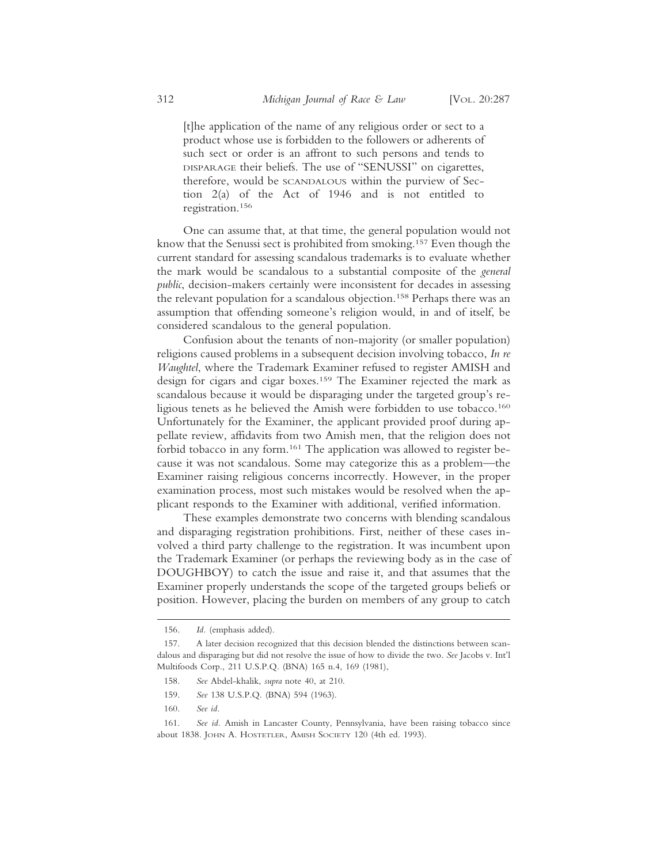[t]he application of the name of any religious order or sect to a product whose use is forbidden to the followers or adherents of such sect or order is an affront to such persons and tends to DISPARAGE their beliefs. The use of "SENUSSI" on cigarettes, therefore, would be SCANDALOUS within the purview of Section 2(a) of the Act of 1946 and is not entitled to registration.156

One can assume that, at that time, the general population would not know that the Senussi sect is prohibited from smoking.157 Even though the current standard for assessing scandalous trademarks is to evaluate whether the mark would be scandalous to a substantial composite of the *general public*, decision-makers certainly were inconsistent for decades in assessing the relevant population for a scandalous objection.158 Perhaps there was an assumption that offending someone's religion would, in and of itself, be considered scandalous to the general population.

Confusion about the tenants of non-majority (or smaller population) religions caused problems in a subsequent decision involving tobacco, *In re Waughtel*, where the Trademark Examiner refused to register AMISH and design for cigars and cigar boxes.159 The Examiner rejected the mark as scandalous because it would be disparaging under the targeted group's religious tenets as he believed the Amish were forbidden to use tobacco.160 Unfortunately for the Examiner, the applicant provided proof during appellate review, affidavits from two Amish men, that the religion does not forbid tobacco in any form.<sup>161</sup> The application was allowed to register because it was not scandalous. Some may categorize this as a problem—the Examiner raising religious concerns incorrectly. However, in the proper examination process, most such mistakes would be resolved when the applicant responds to the Examiner with additional, verified information.

These examples demonstrate two concerns with blending scandalous and disparaging registration prohibitions. First, neither of these cases involved a third party challenge to the registration. It was incumbent upon the Trademark Examiner (or perhaps the reviewing body as in the case of DOUGHBOY) to catch the issue and raise it, and that assumes that the Examiner properly understands the scope of the targeted groups beliefs or position. However, placing the burden on members of any group to catch

<sup>156.</sup> *Id.* (emphasis added).

<sup>157.</sup> A later decision recognized that this decision blended the distinctions between scandalous and disparaging but did not resolve the issue of how to divide the two. *See* Jacobs v. Int'l Multifoods Corp., 211 U.S.P.Q. (BNA) 165 n.4, 169 (1981),

<sup>158.</sup> *See* Abdel-khalik, *supra* note 40, at 210.

<sup>159.</sup> *See* 138 U.S.P.Q. (BNA) 594 (1963).

<sup>160.</sup> *See id.*

<sup>161.</sup> *See id.* Amish in Lancaster County, Pennsylvania, have been raising tobacco since about 1838. JOHN A. HOSTETLER, AMISH SOCIETY 120 (4th ed. 1993).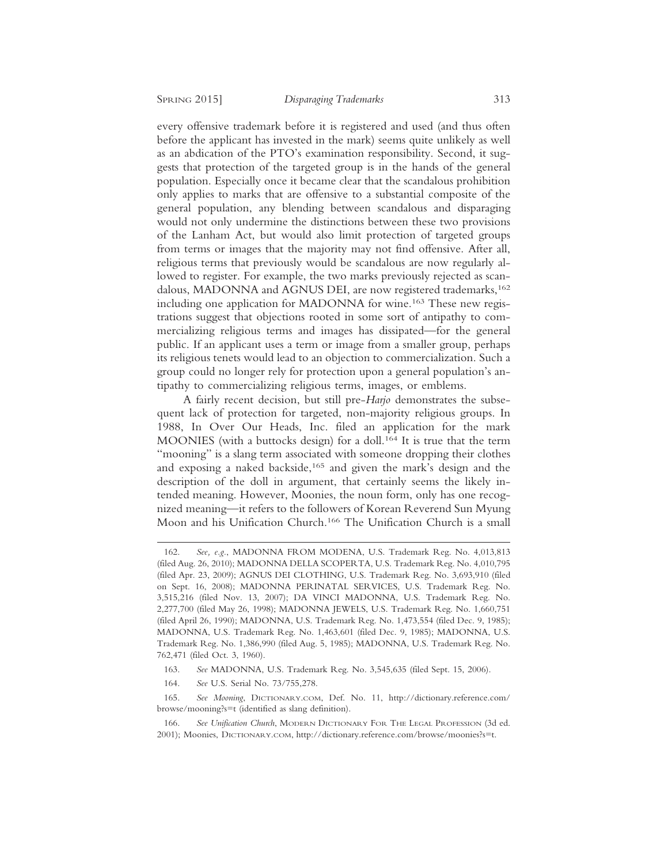every offensive trademark before it is registered and used (and thus often before the applicant has invested in the mark) seems quite unlikely as well as an abdication of the PTO's examination responsibility. Second, it suggests that protection of the targeted group is in the hands of the general population. Especially once it became clear that the scandalous prohibition only applies to marks that are offensive to a substantial composite of the general population, any blending between scandalous and disparaging would not only undermine the distinctions between these two provisions of the Lanham Act, but would also limit protection of targeted groups from terms or images that the majority may not find offensive. After all, religious terms that previously would be scandalous are now regularly allowed to register. For example, the two marks previously rejected as scandalous, MADONNA and AGNUS DEI, are now registered trademarks,<sup>162</sup> including one application for MADONNA for wine.<sup>163</sup> These new registrations suggest that objections rooted in some sort of antipathy to commercializing religious terms and images has dissipated—for the general public. If an applicant uses a term or image from a smaller group, perhaps its religious tenets would lead to an objection to commercialization. Such a group could no longer rely for protection upon a general population's antipathy to commercializing religious terms, images, or emblems.

A fairly recent decision, but still pre-*Harjo* demonstrates the subsequent lack of protection for targeted, non-majority religious groups. In 1988, In Over Our Heads, Inc. filed an application for the mark MOONIES (with a buttocks design) for a doll.<sup>164</sup> It is true that the term "mooning" is a slang term associated with someone dropping their clothes and exposing a naked backside,<sup>165</sup> and given the mark's design and the description of the doll in argument, that certainly seems the likely intended meaning. However, Moonies, the noun form, only has one recognized meaning—it refers to the followers of Korean Reverend Sun Myung Moon and his Unification Church.166 The Unification Church is a small

- 163. *See* MADONNA, U.S. Trademark Reg. No. 3,545,635 (filed Sept. 15, 2006).
- 164. *See* U.S. Serial No. 73/755,278.

165. *See Mooning*, DICTIONARY.COM, Def. No. 11, http://dictionary.reference.com/ browse/mooning?s=t (identified as slang definition).

<sup>162.</sup> *See, e.g.*, MADONNA FROM MODENA, U.S. Trademark Reg. No. 4,013,813 (filed Aug. 26, 2010); MADONNA DELLA SCOPERTA, U.S. Trademark Reg. No. 4,010,795 (filed Apr. 23, 2009); AGNUS DEI CLOTHING, U.S. Trademark Reg. No. 3,693,910 (filed on Sept. 16, 2008); MADONNA PERINATAL SERVICES, U.S. Trademark Reg. No. 3,515,216 (filed Nov. 13, 2007); DA VINCI MADONNA, U.S. Trademark Reg. No. 2,277,700 (filed May 26, 1998); MADONNA JEWELS, U.S. Trademark Reg. No. 1,660,751 (filed April 26, 1990); MADONNA, U.S. Trademark Reg. No. 1,473,554 (filed Dec. 9, 1985); MADONNA, U.S. Trademark Reg. No. 1,463,601 (filed Dec. 9, 1985); MADONNA, U.S. Trademark Reg. No. 1,386,990 (filed Aug. 5, 1985); MADONNA, U.S. Trademark Reg. No. 762,471 (filed Oct. 3, 1960).

<sup>166.</sup> *See Unification Church*, MODERN DICTIONARY FOR THE LEGAL PROFESSION (3d ed. 2001); Moonies, DICTIONARY.COM, http://dictionary.reference.com/browse/moonies?s=t.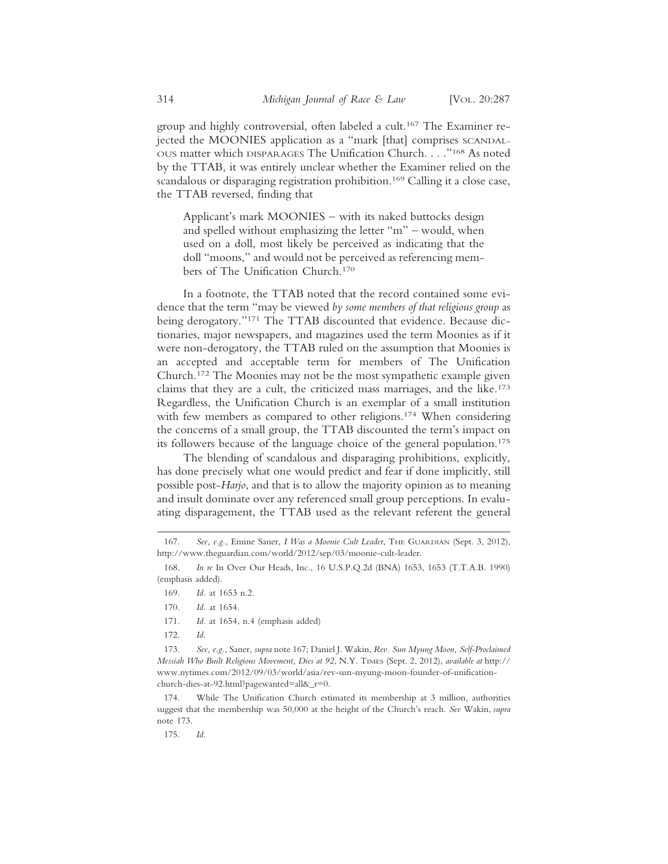group and highly controversial, often labeled a cult.167 The Examiner rejected the MOONIES application as a "mark [that] comprises SCANDAL-OUS matter which DISPARAGES The Unification Church. . . ."168 As noted by the TTAB, it was entirely unclear whether the Examiner relied on the scandalous or disparaging registration prohibition.<sup>169</sup> Calling it a close case, the TTAB reversed, finding that

Applicant's mark MOONIES – with its naked buttocks design and spelled without emphasizing the letter "m" – would, when used on a doll, most likely be perceived as indicating that the doll "moons," and would not be perceived as referencing members of The Unification Church.170

In a footnote, the TTAB noted that the record contained some evidence that the term "may be viewed *by some members of that religious group* as being derogatory."171 The TTAB discounted that evidence. Because dictionaries, major newspapers, and magazines used the term Moonies as if it were non-derogatory, the TTAB ruled on the assumption that Moonies is an accepted and acceptable term for members of The Unification Church.172 The Moonies may not be the most sympathetic example given claims that they are a cult, the criticized mass marriages, and the like.173 Regardless, the Unification Church is an exemplar of a small institution with few members as compared to other religions.<sup>174</sup> When considering the concerns of a small group, the TTAB discounted the term's impact on its followers because of the language choice of the general population.175

The blending of scandalous and disparaging prohibitions, explicitly, has done precisely what one would predict and fear if done implicitly, still possible post-*Harjo*, and that is to allow the majority opinion as to meaning and insult dominate over any referenced small group perceptions. In evaluating disparagement, the TTAB used as the relevant referent the general

- 171. *Id.* at 1654, n.4 (emphasis added)
- 172. *Id*.

174. While The Unification Church estimated its membership at 3 million, authorities suggest that the membership was 50,000 at the height of the Church's reach. *See* Wakin, *supra* note 173.

175. *Id.*

<sup>167.</sup> *See, e.g.*, Emine Saner, *I Was a Moonie Cult Leader*, THE GUARDIAN (Sept. 3, 2012), http://www.theguardian.com/world/2012/sep/03/moonie-cult-leader.

<sup>168.</sup> *In re* In Over Our Heads, Inc., 16 U.S.P.Q.2d (BNA) 1653, 1653 (T.T.A.B. 1990) (emphasis added).

<sup>169.</sup> *Id.* at 1653 n.2.

<sup>170.</sup> *Id.* at 1654.

<sup>173.</sup> *See, e.g.*, Saner, *supra* note 167; Daniel J. Wakin, *Rev. Sun Myung Moon, Self-Proclaimed Messiah Who Built Religious Movement, Dies at 92*, N.Y. TIMES (Sept. 2, 2012), *available at* http:// www.nytimes.com/2012/09/03/world/asia/rev-sun-myung-moon-founder-of-unificationchurch-dies-at-92.html?pagewanted=all&\_r=0.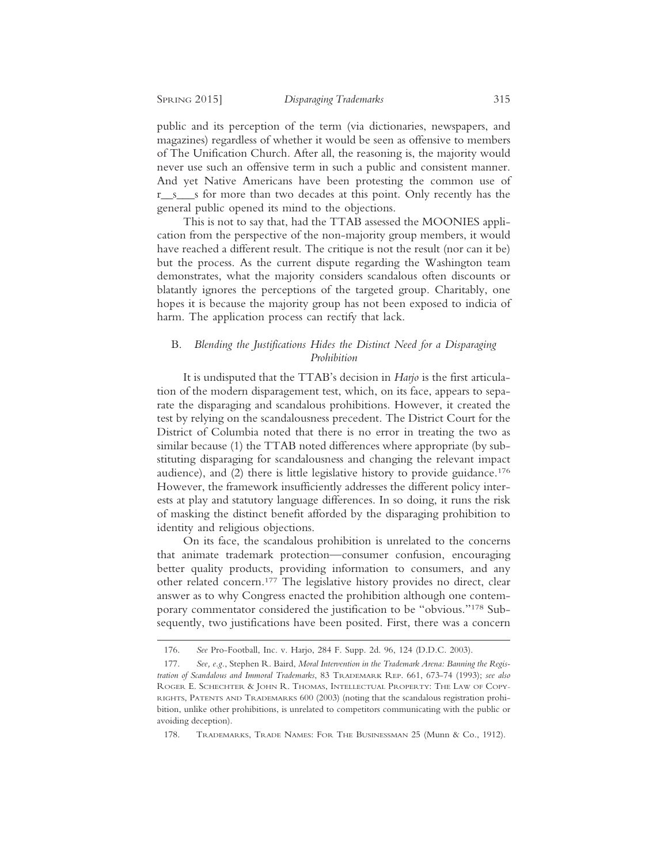public and its perception of the term (via dictionaries, newspapers, and magazines) regardless of whether it would be seen as offensive to members of The Unification Church. After all, the reasoning is, the majority would never use such an offensive term in such a public and consistent manner. And yet Native Americans have been protesting the common use of r\_s\_s for more than two decades at this point. Only recently has the general public opened its mind to the objections.

This is not to say that, had the TTAB assessed the MOONIES application from the perspective of the non-majority group members, it would have reached a different result. The critique is not the result (nor can it be) but the process. As the current dispute regarding the Washington team demonstrates, what the majority considers scandalous often discounts or blatantly ignores the perceptions of the targeted group. Charitably, one hopes it is because the majority group has not been exposed to indicia of harm. The application process can rectify that lack.

## B. *Blending the Justifications Hides the Distinct Need for a Disparaging Prohibition*

It is undisputed that the TTAB's decision in *Harjo* is the first articulation of the modern disparagement test, which, on its face, appears to separate the disparaging and scandalous prohibitions. However, it created the test by relying on the scandalousness precedent. The District Court for the District of Columbia noted that there is no error in treating the two as similar because (1) the TTAB noted differences where appropriate (by substituting disparaging for scandalousness and changing the relevant impact audience), and (2) there is little legislative history to provide guidance.176 However, the framework insufficiently addresses the different policy interests at play and statutory language differences. In so doing, it runs the risk of masking the distinct benefit afforded by the disparaging prohibition to identity and religious objections.

On its face, the scandalous prohibition is unrelated to the concerns that animate trademark protection—consumer confusion, encouraging better quality products, providing information to consumers, and any other related concern.177 The legislative history provides no direct, clear answer as to why Congress enacted the prohibition although one contemporary commentator considered the justification to be "obvious."178 Subsequently, two justifications have been posited. First, there was a concern

<sup>176.</sup> *See* Pro-Football, Inc. v. Harjo, 284 F. Supp. 2d. 96, 124 (D.D.C. 2003).

<sup>177.</sup> *See, e.g.*, Stephen R. Baird, *Moral Intervention in the Trademark Arena: Banning the Registration of Scandalous and Immoral Trademarks*, 83 TRADEMARK REP. 661, 673-74 (1993); *see also* ROGER E. SCHECHTER & JOHN R. THOMAS, INTELLECTUAL PROPERTY: THE LAW OF COPY-RIGHTS, PATENTS AND TRADEMARKS 600 (2003) (noting that the scandalous registration prohibition, unlike other prohibitions, is unrelated to competitors communicating with the public or avoiding deception).

<sup>178.</sup> TRADEMARKS, TRADE NAMES: FOR THE BUSINESSMAN 25 (Munn & Co., 1912).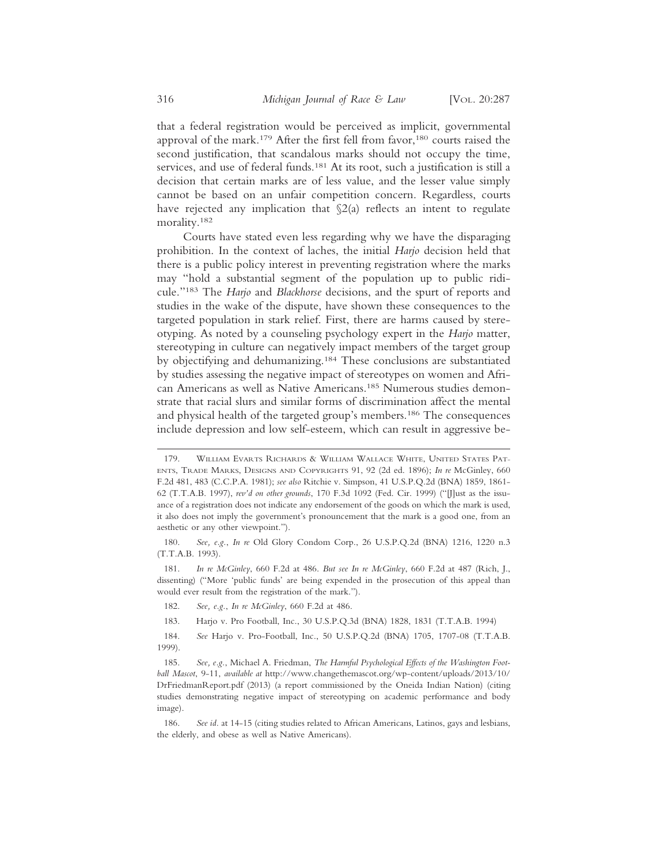that a federal registration would be perceived as implicit, governmental approval of the mark.<sup>179</sup> After the first fell from favor,<sup>180</sup> courts raised the second justification, that scandalous marks should not occupy the time, services, and use of federal funds.<sup>181</sup> At its root, such a justification is still a decision that certain marks are of less value, and the lesser value simply cannot be based on an unfair competition concern. Regardless, courts have rejected any implication that  $\S2(a)$  reflects an intent to regulate morality.182

Courts have stated even less regarding why we have the disparaging prohibition. In the context of laches, the initial *Harjo* decision held that there is a public policy interest in preventing registration where the marks may "hold a substantial segment of the population up to public ridicule."183 The *Harjo* and *Blackhorse* decisions, and the spurt of reports and studies in the wake of the dispute, have shown these consequences to the targeted population in stark relief. First, there are harms caused by stereotyping. As noted by a counseling psychology expert in the *Harjo* matter, stereotyping in culture can negatively impact members of the target group by objectifying and dehumanizing.184 These conclusions are substantiated by studies assessing the negative impact of stereotypes on women and African Americans as well as Native Americans.185 Numerous studies demonstrate that racial slurs and similar forms of discrimination affect the mental and physical health of the targeted group's members.186 The consequences include depression and low self-esteem, which can result in aggressive be-

181. *In re McGinley*, 660 F.2d at 486. *But see In re McGinley*, 660 F.2d at 487 (Rich, J., dissenting) ("More 'public funds' are being expended in the prosecution of this appeal than would ever result from the registration of the mark.").

- 182. *See, e.g.*, *In re McGinley*, 660 F.2d at 486.
- 183. Harjo v. Pro Football, Inc., 30 U.S.P.Q.3d (BNA) 1828, 1831 (T.T.A.B. 1994)

<sup>179.</sup> WILLIAM EVARTS RICHARDS & WILLIAM WALLACE WHITE, UNITED STATES PAT-ENTS, TRADE MARKS, DESIGNS AND COPYRIGHTS 91, 92 (2d ed. 1896); *In re* McGinley, 660 F.2d 481, 483 (C.C.P.A. 1981); *see also* Ritchie v. Simpson, 41 U.S.P.Q.2d (BNA) 1859, 1861- 62 (T.T.A.B. 1997), *rev'd on other grounds*, 170 F.3d 1092 (Fed. Cir. 1999) ("[J]ust as the issuance of a registration does not indicate any endorsement of the goods on which the mark is used, it also does not imply the government's pronouncement that the mark is a good one, from an aesthetic or any other viewpoint.").

<sup>180.</sup> *See, e.g.*, *In re* Old Glory Condom Corp., 26 U.S.P.Q.2d (BNA) 1216, 1220 n.3 (T.T.A.B. 1993).

<sup>184.</sup> *See* Harjo v. Pro-Football, Inc., 50 U.S.P.Q.2d (BNA) 1705, 1707-08 (T.T.A.B. 1999).

<sup>185.</sup> *See, e.g.*, Michael A. Friedman, *The Harmful Psychological Effects of the Washington Football Mascot*, 9-11, *available at* http://www.changethemascot.org/wp-content/uploads/2013/10/ DrFriedmanReport.pdf (2013) (a report commissioned by the Oneida Indian Nation) (citing studies demonstrating negative impact of stereotyping on academic performance and body image).

<sup>186.</sup> *See id.* at 14-15 (citing studies related to African Americans, Latinos, gays and lesbians, the elderly, and obese as well as Native Americans).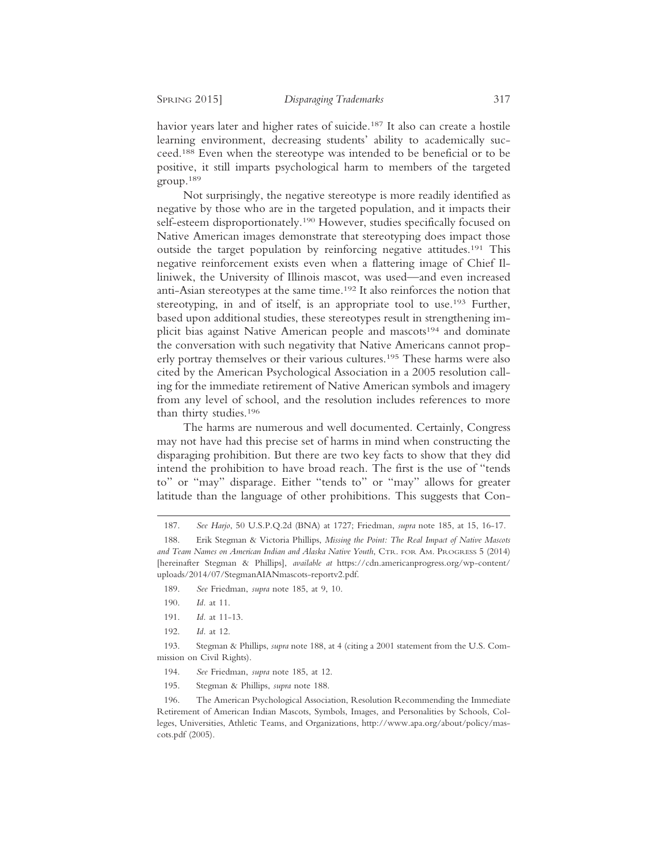havior years later and higher rates of suicide.<sup>187</sup> It also can create a hostile learning environment, decreasing students' ability to academically succeed.188 Even when the stereotype was intended to be beneficial or to be positive, it still imparts psychological harm to members of the targeted group.189

Not surprisingly, the negative stereotype is more readily identified as negative by those who are in the targeted population, and it impacts their self-esteem disproportionately.<sup>190</sup> However, studies specifically focused on Native American images demonstrate that stereotyping does impact those outside the target population by reinforcing negative attitudes.191 This negative reinforcement exists even when a flattering image of Chief Illiniwek, the University of Illinois mascot, was used—and even increased anti-Asian stereotypes at the same time.192 It also reinforces the notion that stereotyping, in and of itself, is an appropriate tool to use.<sup>193</sup> Further, based upon additional studies, these stereotypes result in strengthening implicit bias against Native American people and mascots<sup>194</sup> and dominate the conversation with such negativity that Native Americans cannot properly portray themselves or their various cultures.195 These harms were also cited by the American Psychological Association in a 2005 resolution calling for the immediate retirement of Native American symbols and imagery from any level of school, and the resolution includes references to more than thirty studies.196

The harms are numerous and well documented. Certainly, Congress may not have had this precise set of harms in mind when constructing the disparaging prohibition. But there are two key facts to show that they did intend the prohibition to have broad reach. The first is the use of "tends to" or "may" disparage. Either "tends to" or "may" allows for greater latitude than the language of other prohibitions. This suggests that Con-

192. *Id.* at 12.

193. Stegman & Phillips, *supra* note 188, at 4 (citing a 2001 statement from the U.S. Commission on Civil Rights).

- 194. *See* Friedman, *supra* note 185, at 12.
- 195. Stegman & Phillips, *supra* note 188.

196. The American Psychological Association, Resolution Recommending the Immediate Retirement of American Indian Mascots, Symbols, Images, and Personalities by Schools, Colleges, Universities, Athletic Teams, and Organizations, http://www.apa.org/about/policy/mascots.pdf (2005).

<sup>187.</sup> *See Harjo*, 50 U.S.P.Q.2d (BNA) at 1727; Friedman, *supra* note 185, at 15, 16-17.

<sup>188.</sup> Erik Stegman & Victoria Phillips, *Missing the Point: The Real Impact of Native Mascots and Team Names on American Indian and Alaska Native Youth*, CTR. FOR AM. PROGRESS 5 (2014) [hereinafter Stegman & Phillips], *available at* https://cdn.americanprogress.org/wp-content/ uploads/2014/07/StegmanAIANmascots-reportv2.pdf.

<sup>189.</sup> *See* Friedman, *supra* note 185, at 9, 10.

<sup>190.</sup> *Id.* at 11.

<sup>191.</sup> *Id.* at 11-13.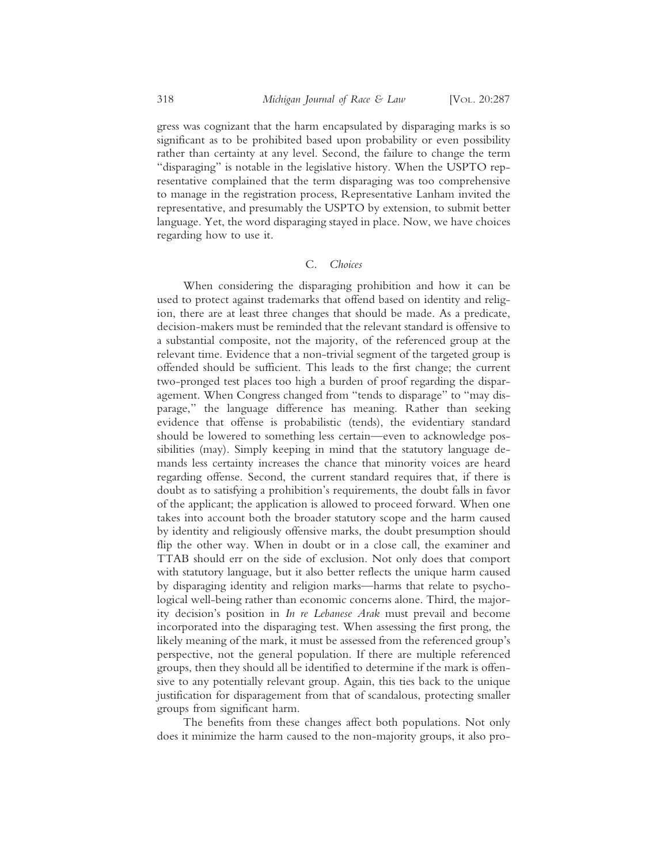gress was cognizant that the harm encapsulated by disparaging marks is so significant as to be prohibited based upon probability or even possibility rather than certainty at any level. Second, the failure to change the term "disparaging" is notable in the legislative history. When the USPTO representative complained that the term disparaging was too comprehensive to manage in the registration process, Representative Lanham invited the representative, and presumably the USPTO by extension, to submit better language. Yet, the word disparaging stayed in place. Now, we have choices regarding how to use it.

## C. *Choices*

When considering the disparaging prohibition and how it can be used to protect against trademarks that offend based on identity and religion, there are at least three changes that should be made. As a predicate, decision-makers must be reminded that the relevant standard is offensive to a substantial composite, not the majority, of the referenced group at the relevant time. Evidence that a non-trivial segment of the targeted group is offended should be sufficient. This leads to the first change; the current two-pronged test places too high a burden of proof regarding the disparagement. When Congress changed from "tends to disparage" to "may disparage," the language difference has meaning. Rather than seeking evidence that offense is probabilistic (tends), the evidentiary standard should be lowered to something less certain—even to acknowledge possibilities (may). Simply keeping in mind that the statutory language demands less certainty increases the chance that minority voices are heard regarding offense. Second, the current standard requires that, if there is doubt as to satisfying a prohibition's requirements, the doubt falls in favor of the applicant; the application is allowed to proceed forward. When one takes into account both the broader statutory scope and the harm caused by identity and religiously offensive marks, the doubt presumption should flip the other way. When in doubt or in a close call, the examiner and TTAB should err on the side of exclusion. Not only does that comport with statutory language, but it also better reflects the unique harm caused by disparaging identity and religion marks—harms that relate to psychological well-being rather than economic concerns alone. Third, the majority decision's position in *In re Lebanese Arak* must prevail and become incorporated into the disparaging test. When assessing the first prong, the likely meaning of the mark, it must be assessed from the referenced group's perspective, not the general population. If there are multiple referenced groups, then they should all be identified to determine if the mark is offensive to any potentially relevant group. Again, this ties back to the unique justification for disparagement from that of scandalous, protecting smaller groups from significant harm.

The benefits from these changes affect both populations. Not only does it minimize the harm caused to the non-majority groups, it also pro-